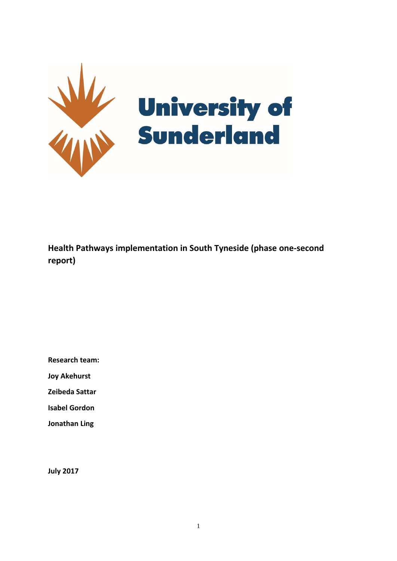

**Health Pathways implementation in South Tyneside (phase one-second report)**

**Research team:**

**Joy Akehurst** 

**Zeibeda Sattar**

**Isabel Gordon**

**Jonathan Ling**

**July 2017**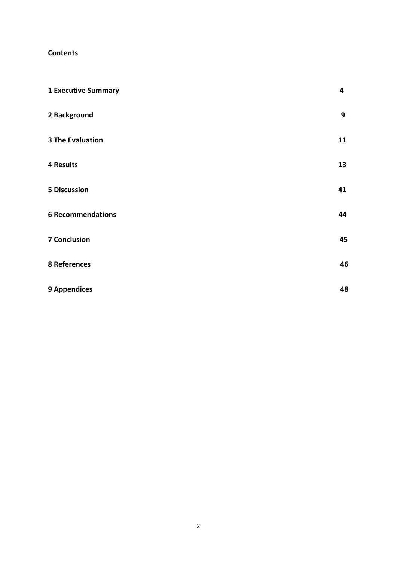## **Contents**

| <b>1 Executive Summary</b> | 4  |
|----------------------------|----|
| 2 Background               | 9  |
| <b>3 The Evaluation</b>    | 11 |
| <b>4 Results</b>           | 13 |
| <b>5 Discussion</b>        | 41 |
| <b>6 Recommendations</b>   | 44 |
| <b>7 Conclusion</b>        | 45 |
| 8 References               | 46 |
| <b>9 Appendices</b>        | 48 |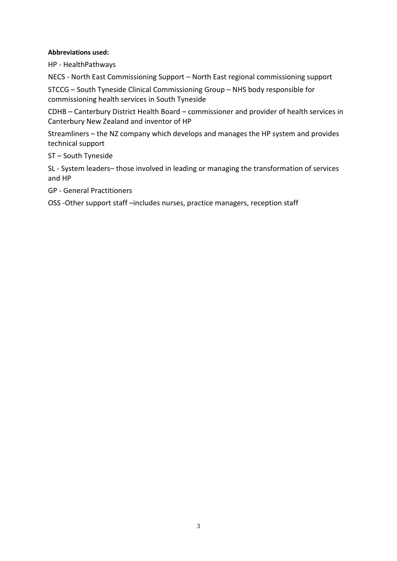## **Abbreviations used:**

HP - HealthPathways

NECS - North East Commissioning Support – North East regional commissioning support

STCCG – South Tyneside Clinical Commissioning Group – NHS body responsible for commissioning health services in South Tyneside

CDHB – Canterbury District Health Board – commissioner and provider of health services in Canterbury New Zealand and inventor of HP

Streamliners – the NZ company which develops and manages the HP system and provides technical support

## ST – South Tyneside

SL - System leaders– those involved in leading or managing the transformation of services and HP

GP - General Practitioners

OSS -Other support staff –includes nurses, practice managers, reception staff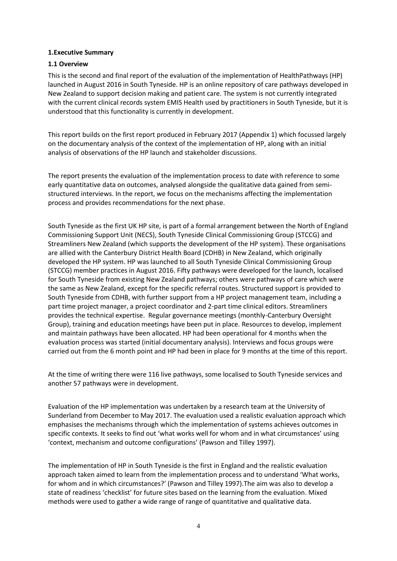#### **1.Executive Summary**

### **1.1 Overview**

This is the second and final report of the evaluation of the implementation of HealthPathways (HP) launched in August 2016 in South Tyneside. HP is an online repository of care pathways developed in New Zealand to support decision making and patient care. The system is not currently integrated with the current clinical records system EMIS Health used by practitioners in South Tyneside, but it is understood that this functionality is currently in development.

This report builds on the first report produced in February 2017 (Appendix 1) which focussed largely on the documentary analysis of the context of the implementation of HP, along with an initial analysis of observations of the HP launch and stakeholder discussions.

The report presents the evaluation of the implementation process to date with reference to some early quantitative data on outcomes, analysed alongside the qualitative data gained from semistructured interviews. In the report, we focus on the mechanisms affecting the implementation process and provides recommendations for the next phase.

South Tyneside as the first UK HP site, is part of a formal arrangement between the North of England Commissioning Support Unit (NECS), South Tyneside Clinical Commissioning Group (STCCG) and Streamliners New Zealand (which supports the development of the HP system). These organisations are allied with the Canterbury District Health Board (CDHB) in New Zealand, which originally developed the HP system. HP was launched to all South Tyneside Clinical Commissioning Group (STCCG) member practices in August 2016. Fifty pathways were developed for the launch, localised for South Tyneside from existing New Zealand pathways; others were pathways of care which were the same as New Zealand, except for the specific referral routes. Structured support is provided to South Tyneside from CDHB, with further support from a HP project management team, including a part time project manager, a project coordinator and 2-part time clinical editors. Streamliners provides the technical expertise. Regular governance meetings (monthly-Canterbury Oversight Group), training and education meetings have been put in place. Resources to develop, implement and maintain pathways have been allocated. HP had been operational for 4 months when the evaluation process was started (initial documentary analysis). Interviews and focus groups were carried out from the 6 month point and HP had been in place for 9 months at the time of this report.

At the time of writing there were 116 live pathways, some localised to South Tyneside services and another 57 pathways were in development.

Evaluation of the HP implementation was undertaken by a research team at the University of Sunderland from December to May 2017. The evaluation used a realistic evaluation approach which emphasises the mechanisms through which the implementation of systems achieves outcomes in specific contexts. It seeks to find out 'what works well for whom and in what circumstances' using 'context, mechanism and outcome configurations' (Pawson and Tilley 1997).

The implementation of HP in South Tyneside is the first in England and the realistic evaluation approach taken aimed to learn from the implementation process and to understand 'What works, for whom and in which circumstances?' (Pawson and Tilley 1997).The aim was also to develop a state of readiness 'checklist' for future sites based on the learning from the evaluation. Mixed methods were used to gather a wide range of range of quantitative and qualitative data.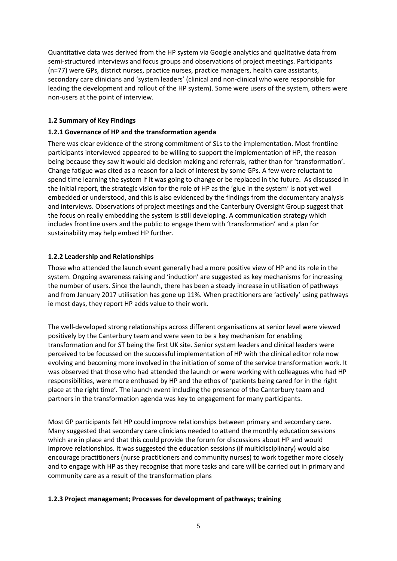Quantitative data was derived from the HP system via Google analytics and qualitative data from semi-structured interviews and focus groups and observations of project meetings. Participants (n=77) were GPs, district nurses, practice nurses, practice managers, health care assistants, secondary care clinicians and 'system leaders' (clinical and non-clinical who were responsible for leading the development and rollout of the HP system). Some were users of the system, others were non-users at the point of interview.

## **1.2 Summary of Key Findings**

## **1.2.1 Governance of HP and the transformation agenda**

There was clear evidence of the strong commitment of SLs to the implementation. Most frontline participants interviewed appeared to be willing to support the implementation of HP, the reason being because they saw it would aid decision making and referrals, rather than for 'transformation'. Change fatigue was cited as a reason for a lack of interest by some GPs. A few were reluctant to spend time learning the system if it was going to change or be replaced in the future. As discussed in the initial report, the strategic vision for the role of HP as the 'glue in the system' is not yet well embedded or understood, and this is also evidenced by the findings from the documentary analysis and interviews. Observations of project meetings and the Canterbury Oversight Group suggest that the focus on really embedding the system is still developing. A communication strategy which includes frontline users and the public to engage them with 'transformation' and a plan for sustainability may help embed HP further.

## **1.2.2 Leadership and Relationships**

Those who attended the launch event generally had a more positive view of HP and its role in the system. Ongoing awareness raising and 'induction' are suggested as key mechanisms for increasing the number of users. Since the launch, there has been a steady increase in utilisation of pathways and from January 2017 utilisation has gone up 11%. When practitioners are 'actively' using pathways ie most days, they report HP adds value to their work.

The well-developed strong relationships across different organisations at senior level were viewed positively by the Canterbury team and were seen to be a key mechanism for enabling transformation and for ST being the first UK site. Senior system leaders and clinical leaders were perceived to be focussed on the successful implementation of HP with the clinical editor role now evolving and becoming more involved in the initiation of some of the service transformation work. It was observed that those who had attended the launch or were working with colleagues who had HP responsibilities, were more enthused by HP and the ethos of 'patients being cared for in the right place at the right time'. The launch event including the presence of the Canterbury team and partners in the transformation agenda was key to engagement for many participants.

Most GP participants felt HP could improve relationships between primary and secondary care. Many suggested that secondary care clinicians needed to attend the monthly education sessions which are in place and that this could provide the forum for discussions about HP and would improve relationships. It was suggested the education sessions (if multidisciplinary) would also encourage practitioners (nurse practitioners and community nurses) to work together more closely and to engage with HP as they recognise that more tasks and care will be carried out in primary and community care as a result of the transformation plans

## **1.2.3 Project management; Processes for development of pathways; training**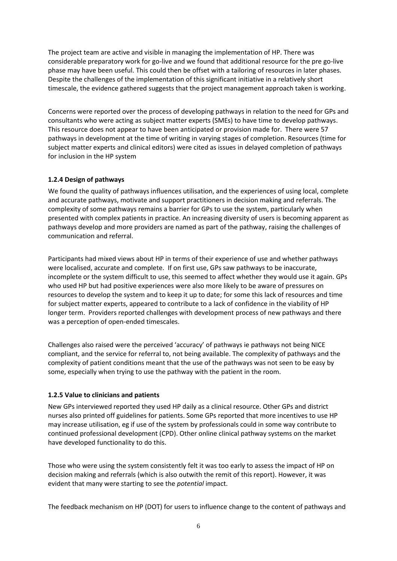The project team are active and visible in managing the implementation of HP. There was considerable preparatory work for go-live and we found that additional resource for the pre go-live phase may have been useful. This could then be offset with a tailoring of resources in later phases. Despite the challenges of the implementation of this significant initiative in a relatively short timescale, the evidence gathered suggests that the project management approach taken is working.

Concerns were reported over the process of developing pathways in relation to the need for GPs and consultants who were acting as subject matter experts (SMEs) to have time to develop pathways. This resource does not appear to have been anticipated or provision made for. There were 57 pathways in development at the time of writing in varying stages of completion. Resources (time for subject matter experts and clinical editors) were cited as issues in delayed completion of pathways for inclusion in the HP system

## **1.2.4 Design of pathways**

We found the quality of pathways influences utilisation, and the experiences of using local, complete and accurate pathways, motivate and support practitioners in decision making and referrals. The complexity of some pathways remains a barrier for GPs to use the system, particularly when presented with complex patients in practice. An increasing diversity of users is becoming apparent as pathways develop and more providers are named as part of the pathway, raising the challenges of communication and referral.

Participants had mixed views about HP in terms of their experience of use and whether pathways were localised, accurate and complete. If on first use, GPs saw pathways to be inaccurate, incomplete or the system difficult to use, this seemed to affect whether they would use it again. GPs who used HP but had positive experiences were also more likely to be aware of pressures on resources to develop the system and to keep it up to date; for some this lack of resources and time for subject matter experts, appeared to contribute to a lack of confidence in the viability of HP longer term. Providers reported challenges with development process of new pathways and there was a perception of open-ended timescales.

Challenges also raised were the perceived 'accuracy' of pathways ie pathways not being NICE compliant, and the service for referral to, not being available. The complexity of pathways and the complexity of patient conditions meant that the use of the pathways was not seen to be easy by some, especially when trying to use the pathway with the patient in the room.

# **1.2.5 Value to clinicians and patients**

New GPs interviewed reported they used HP daily as a clinical resource. Other GPs and district nurses also printed off guidelines for patients. Some GPs reported that more incentives to use HP may increase utilisation, eg if use of the system by professionals could in some way contribute to continued professional development (CPD). Other online clinical pathway systems on the market have developed functionality to do this.

Those who were using the system consistently felt it was too early to assess the impact of HP on decision making and referrals (which is also outwith the remit of this report). However, it was evident that many were starting to see the *potential* impact.

The feedback mechanism on HP (DOT) for users to influence change to the content of pathways and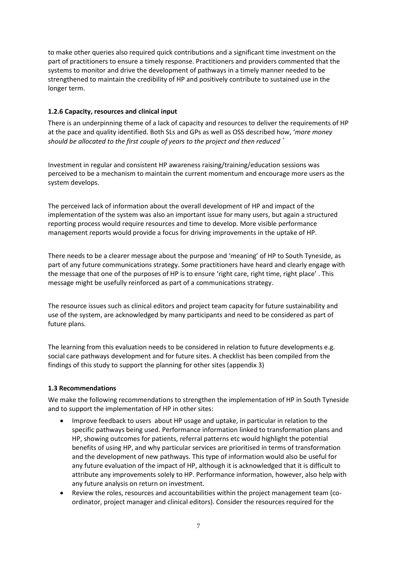to make other queries also required quick contributions and a significant time investment on the part of practitioners to ensure a timely response. Practitioners and providers commented that the systems to monitor and drive the development of pathways in a timely manner needed to be strengthened to maintain the credibility of HP and positively contribute to sustained use in the longer term.

## **1.2.6 Capacity, resources and clinical input**

There is an underpinning theme of a lack of capacity and resources to deliver the requirements of HP at the pace and quality identified. Both SLs and GPs as well as OSS described how, '*more money should be allocated to the first couple of years to the project and then reduced*'

Investment in regular and consistent HP awareness raising/training/education sessions was perceived to be a mechanism to maintain the current momentum and encourage more users as the system develops.

The perceived lack of information about the overall development of HP and impact of the implementation of the system was also an important issue for many users, but again a structured reporting process would require resources and time to develop. More visible performance management reports would provide a focus for driving improvements in the uptake of HP.

There needs to be a clearer message about the purpose and 'meaning' of HP to South Tyneside, as part of any future communications strategy. Some practitioners have heard and clearly engage with the message that one of the purposes of HP is to ensure 'right care, right time, right place' . This message might be usefully reinforced as part of a communications strategy.

The resource issues such as clinical editors and project team capacity for future sustainability and use of the system, are acknowledged by many participants and need to be considered as part of future plans.

The learning from this evaluation needs to be considered in relation to future developments e.g. social care pathways development and for future sites. A checklist has been compiled from the findings of this study to support the planning for other sites (appendix 3)

## **1.3 Recommendations**

We make the following recommendations to strengthen the implementation of HP in South Tyneside and to support the implementation of HP in other sites:

- Improve feedback to users about HP usage and uptake, in particular in relation to the specific pathways being used. Performance information linked to transformation plans and HP, showing outcomes for patients, referral patterns etc would highlight the potential benefits of using HP, and why particular services are prioritised in terms of transformation and the development of new pathways. This type of information would also be useful for any future evaluation of the impact of HP, although it is acknowledged that it is difficult to attribute any improvements solely to HP. Performance information, however, also help with any future analysis on return on investment.
- Review the roles, resources and accountabilities within the project management team (coordinator, project manager and clinical editors). Consider the resources required for the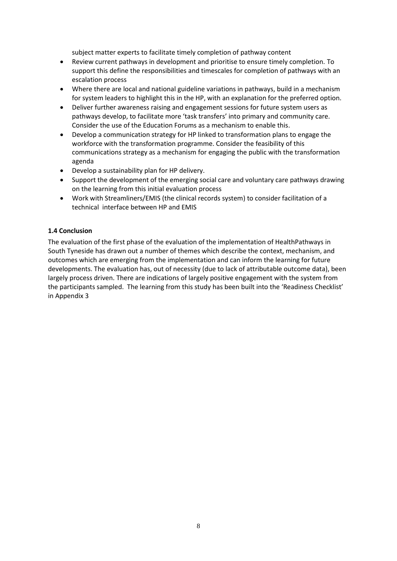subject matter experts to facilitate timely completion of pathway content

- Review current pathways in development and prioritise to ensure timely completion. To support this define the responsibilities and timescales for completion of pathways with an escalation process
- Where there are local and national guideline variations in pathways, build in a mechanism for system leaders to highlight this in the HP, with an explanation for the preferred option.
- Deliver further awareness raising and engagement sessions for future system users as pathways develop, to facilitate more 'task transfers' into primary and community care. Consider the use of the Education Forums as a mechanism to enable this.
- Develop a communication strategy for HP linked to transformation plans to engage the workforce with the transformation programme. Consider the feasibility of this communications strategy as a mechanism for engaging the public with the transformation agenda
- Develop a sustainability plan for HP delivery.
- Support the development of the emerging social care and voluntary care pathways drawing on the learning from this initial evaluation process
- Work with Streamliners/EMIS (the clinical records system) to consider facilitation of a technical interface between HP and EMIS

### **1.4 Conclusion**

The evaluation of the first phase of the evaluation of the implementation of HealthPathways in South Tyneside has drawn out a number of themes which describe the context, mechanism, and outcomes which are emerging from the implementation and can inform the learning for future developments. The evaluation has, out of necessity (due to lack of attributable outcome data), been largely process driven. There are indications of largely positive engagement with the system from the participants sampled. The learning from this study has been built into the 'Readiness Checklist' in Appendix 3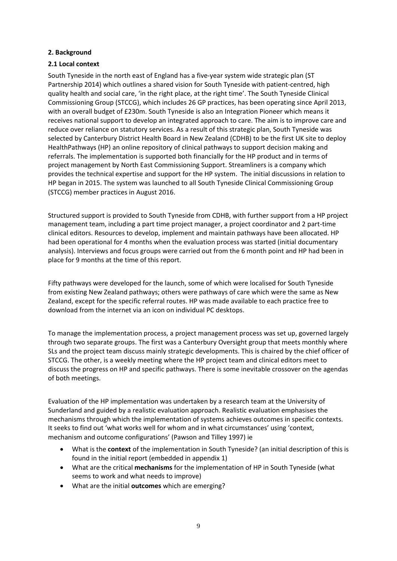### **2. Background**

## **2.1 Local context**

South Tyneside in the north east of England has a five-year system wide strategic plan (ST Partnership 2014) which outlines a shared vision for South Tyneside with patient-centred, high quality health and social care, 'in the right place, at the right time'. The South Tyneside Clinical Commissioning Group (STCCG), which includes 26 GP practices, has been operating since April 2013, with an overall budget of £230m. South Tyneside is also an Integration Pioneer which means it receives national support to develop an integrated approach to care. The aim is to improve care and reduce over reliance on statutory services. As a result of this strategic plan, South Tyneside was selected by Canterbury District Health Board in New Zealand (CDHB) to be the first UK site to deploy HealthPathways (HP) an online repository of clinical pathways to support decision making and referrals. The implementation is supported both financially for the HP product and in terms of project management by North East Commissioning Support. Streamliners is a company which provides the technical expertise and support for the HP system. The initial discussions in relation to HP began in 2015. The system was launched to all South Tyneside Clinical Commissioning Group (STCCG) member practices in August 2016.

Structured support is provided to South Tyneside from CDHB, with further support from a HP project management team, including a part time project manager, a project coordinator and 2 part-time clinical editors. Resources to develop, implement and maintain pathways have been allocated. HP had been operational for 4 months when the evaluation process was started (initial documentary analysis). Interviews and focus groups were carried out from the 6 month point and HP had been in place for 9 months at the time of this report.

Fifty pathways were developed for the launch, some of which were localised for South Tyneside from existing New Zealand pathways; others were pathways of care which were the same as New Zealand, except for the specific referral routes. HP was made available to each practice free to download from the internet via an icon on individual PC desktops.

To manage the implementation process, a project management process was set up, governed largely through two separate groups. The first was a Canterbury Oversight group that meets monthly where SLs and the project team discuss mainly strategic developments. This is chaired by the chief officer of STCCG. The other, is a weekly meeting where the HP project team and clinical editors meet to discuss the progress on HP and specific pathways. There is some inevitable crossover on the agendas of both meetings.

Evaluation of the HP implementation was undertaken by a research team at the University of Sunderland and guided by a realistic evaluation approach. Realistic evaluation emphasises the mechanisms through which the implementation of systems achieves outcomes in specific contexts. It seeks to find out 'what works well for whom and in what circumstances' using 'context, mechanism and outcome configurations' (Pawson and Tilley 1997) ie

- What is the **context** of the implementation in South Tyneside? (an initial description of this is found in the initial report (embedded in appendix 1)
- What are the critical **mechanisms** for the implementation of HP in South Tyneside (what seems to work and what needs to improve)
- What are the initial **outcomes** which are emerging?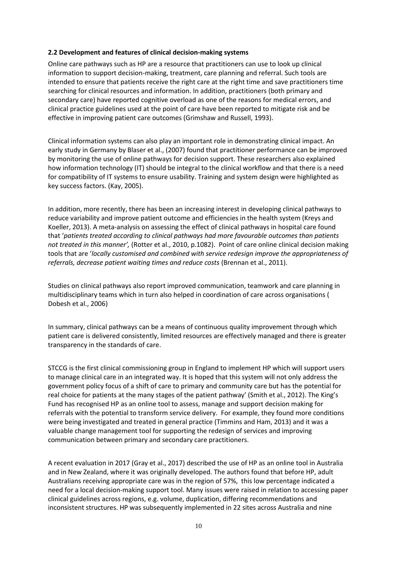#### **2.2 Development and features of clinical decision-making systems**

Online care pathways such as HP are a resource that practitioners can use to look up clinical information to support decision-making, treatment, care planning and referral. Such tools are intended to ensure that patients receive the right care at the right time and save practitioners time searching for clinical resources and information. In addition, practitioners (both primary and secondary care) have reported cognitive overload as one of the reasons for medical errors, and clinical practice guidelines used at the point of care have been reported to mitigate risk and be effective in improving patient care outcomes (Grimshaw and Russell, 1993).

Clinical information systems can also play an important role in demonstrating clinical impact. An early study in Germany by Blaser et al., (2007) found that practitioner performance can be improved by monitoring the use of online pathways for decision support. These researchers also explained how information technology (IT) should be integral to the clinical workflow and that there is a need for compatibility of IT systems to ensure usability. Training and system design were highlighted as key success factors. (Kay, 2005).

In addition, more recently, there has been an increasing interest in developing clinical pathways to reduce variability and improve patient outcome and efficiencies in the health system (Kreys and Koeller, 2013). A meta-analysis on assessing the effect of clinical pathways in hospital care found that '*patients treated according to clinical pathways had more favourable outcomes than patients not treated in this manner',* (Rotter et al., 2010, p.1082). Point of care online clinical decision making tools that are '*locally customised and combined with service redesign improve the appropriateness of referrals, decrease patient waiting times and reduce costs* (Brennan et al., 2011).

Studies on clinical pathways also report improved communication, teamwork and care planning in multidisciplinary teams which in turn also helped in coordination of care across organisations ( Dobesh et al., 2006)

In summary, clinical pathways can be a means of continuous quality improvement through which patient care is delivered consistently, limited resources are effectively managed and there is greater transparency in the standards of care.

STCCG is the first clinical commissioning group in England to implement HP which will support users to manage clinical care in an integrated way. It is hoped that this system will not only address the government policy focus of a shift of care to primary and community care but has the potential for real choice for patients at the many stages of the patient pathway' (Smith et al., 2012). The King's Fund has recognised HP as an online tool to assess, manage and support decision making for referrals with the potential to transform service delivery. For example, they found more conditions were being investigated and treated in general practice (Timmins and Ham, 2013) and it was a valuable change management tool for supporting the redesign of services and improving communication between primary and secondary care practitioners.

A recent evaluation in 2017 (Gray et al., 2017) described the use of HP as an online tool in Australia and in New Zealand, where it was originally developed. The authors found that before HP, adult Australians receiving appropriate care was in the region of 57%, this low percentage indicated a need for a local decision-making support tool. Many issues were raised in relation to accessing paper clinical guidelines across regions, e.g. volume, duplication, differing recommendations and inconsistent structures. HP was subsequently implemented in 22 sites across Australia and nine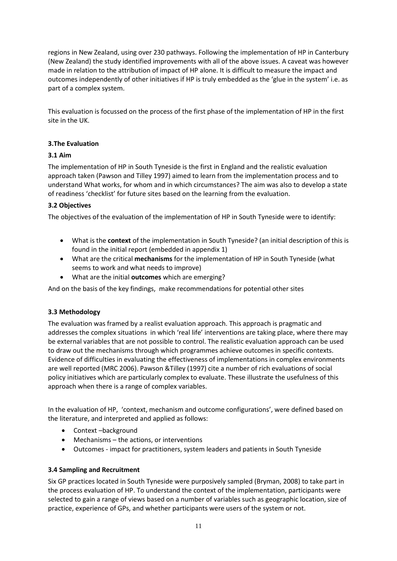regions in New Zealand, using over 230 pathways. Following the implementation of HP in Canterbury (New Zealand) the study identified improvements with all of the above issues. A caveat was however made in relation to the attribution of impact of HP alone. It is difficult to measure the impact and outcomes independently of other initiatives if HP is truly embedded as the 'glue in the system' i.e. as part of a complex system.

This evaluation is focussed on the process of the first phase of the implementation of HP in the first site in the UK.

## **3.The Evaluation**

### **3.1 Aim**

The implementation of HP in South Tyneside is the first in England and the realistic evaluation approach taken (Pawson and Tilley 1997) aimed to learn from the implementation process and to understand What works, for whom and in which circumstances? The aim was also to develop a state of readiness 'checklist' for future sites based on the learning from the evaluation.

## **3.2 Objectives**

The objectives of the evaluation of the implementation of HP in South Tyneside were to identify:

- What is the **context** of the implementation in South Tyneside? (an initial description of this is found in the initial report (embedded in appendix 1)
- What are the critical **mechanisms** for the implementation of HP in South Tyneside (what seems to work and what needs to improve)
- What are the initial **outcomes** which are emerging?

And on the basis of the key findings, make recommendations for potential other sites

#### **3.3 Methodology**

The evaluation was framed by a realist evaluation approach. This approach is pragmatic and addresses the complex situations in which 'real life' interventions are taking place, where there may be external variables that are not possible to control. The realistic evaluation approach can be used to draw out the mechanisms through which programmes achieve outcomes in specific contexts. Evidence of difficulties in evaluating the effectiveness of implementations in complex environments are well reported (MRC 2006). Pawson &Tilley (1997) cite a number of rich evaluations of social policy initiatives which are particularly complex to evaluate. These illustrate the usefulness of this approach when there is a range of complex variables.

In the evaluation of HP, 'context, mechanism and outcome configurations', were defined based on the literature, and interpreted and applied as follows:

- Context –background
- Mechanisms the actions, or interventions
- Outcomes impact for practitioners, system leaders and patients in South Tyneside

#### **3.4 Sampling and Recruitment**

Six GP practices located in South Tyneside were purposively sampled (Bryman, 2008) to take part in the process evaluation of HP. To understand the context of the implementation, participants were selected to gain a range of views based on a number of variables such as geographic location, size of practice, experience of GPs, and whether participants were users of the system or not.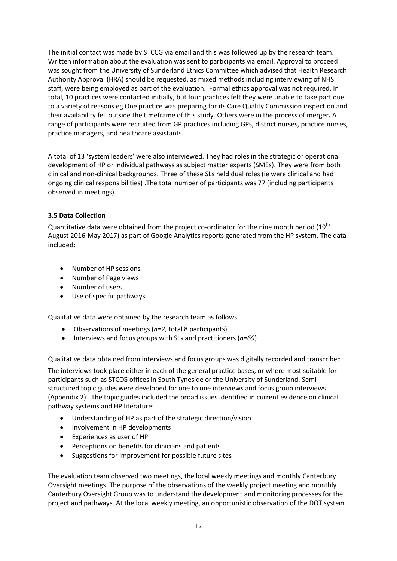The initial contact was made by STCCG via email and this was followed up by the research team. Written information about the evaluation was sent to participants via email. Approval to proceed was sought from the University of Sunderland Ethics Committee which advised that Health Research Authority Approval (HRA) should be requested, as mixed methods including interviewing of NHS staff, were being employed as part of the evaluation. Formal ethics approval was not required. In total, 10 practices were contacted initially, but four practices felt they were unable to take part due to a variety of reasons eg One practice was preparing for its Care Quality Commission inspection and their availability fell outside the timeframe of this study. Others were in the process of merger**.** A range of participants were recruited from GP practices including GPs, district nurses, practice nurses, practice managers, and healthcare assistants.

A total of 13 'system leaders' were also interviewed. They had roles in the strategic or operational development of HP or individual pathways as subject matter experts (SMEs). They were from both clinical and non-clinical backgrounds. Three of these SLs held dual roles (ie were clinical and had ongoing clinical responsibilities) .The total number of participants was 77 (including participants observed in meetings).

## **3.5 Data Collection**

Quantitative data were obtained from the project co-ordinator for the nine month period (19<sup>th</sup>) August 2016-May 2017) as part of Google Analytics reports generated from the HP system. The data included:

- Number of HP sessions
- Number of Page views
- Number of users
- Use of specific pathways

Qualitative data were obtained by the research team as follows:

- Observations of meetings (*n=2,* total 8 participants)
- Interviews and focus groups with SLs and practitioners (*n=69*)

Qualitative data obtained from interviews and focus groups was digitally recorded and transcribed.

The interviews took place either in each of the general practice bases, or where most suitable for participants such as STCCG offices in South Tyneside or the University of Sunderland. Semi structured topic guides were developed for one to one interviews and focus group interviews (Appendix 2). The topic guides included the broad issues identified in current evidence on clinical pathway systems and HP literature:

- Understanding of HP as part of the strategic direction/vision
- Involvement in HP developments
- Experiences as user of HP
- Perceptions on benefits for clinicians and patients
- Suggestions for improvement for possible future sites

The evaluation team observed two meetings, the local weekly meetings and monthly Canterbury Oversight meetings. The purpose of the observations of the weekly project meeting and monthly Canterbury Oversight Group was to understand the development and monitoring processes for the project and pathways. At the local weekly meeting, an opportunistic observation of the DOT system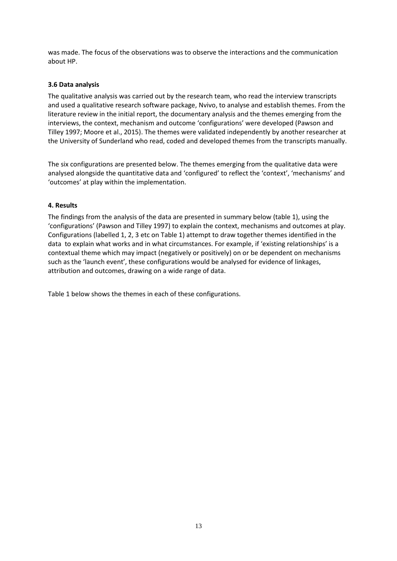was made. The focus of the observations was to observe the interactions and the communication about HP.

### **3.6 Data analysis**

The qualitative analysis was carried out by the research team, who read the interview transcripts and used a qualitative research software package, Nvivo, to analyse and establish themes. From the literature review in the initial report, the documentary analysis and the themes emerging from the interviews, the context, mechanism and outcome 'configurations' were developed (Pawson and Tilley 1997; Moore et al., 2015). The themes were validated independently by another researcher at the University of Sunderland who read, coded and developed themes from the transcripts manually.

The six configurations are presented below. The themes emerging from the qualitative data were analysed alongside the quantitative data and 'configured' to reflect the 'context', 'mechanisms' and 'outcomes' at play within the implementation.

### **4. Results**

The findings from the analysis of the data are presented in summary below (table 1), using the 'configurations' (Pawson and Tilley 1997) to explain the context, mechanisms and outcomes at play. Configurations (labelled 1, 2, 3 etc on Table 1) attempt to draw together themes identified in the data to explain what works and in what circumstances. For example, if 'existing relationships' is a contextual theme which may impact (negatively or positively) on or be dependent on mechanisms such as the 'launch event', these configurations would be analysed for evidence of linkages, attribution and outcomes, drawing on a wide range of data.

Table 1 below shows the themes in each of these configurations.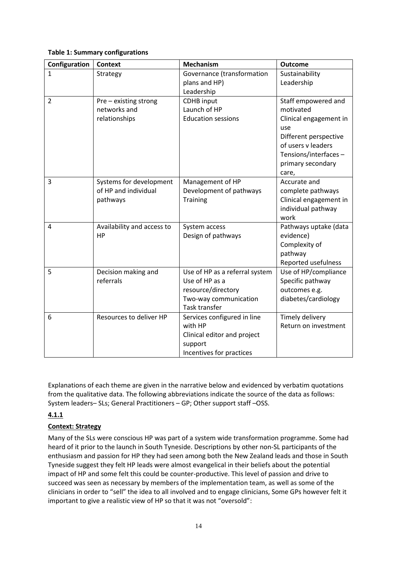### **Table 1: Summary configurations**

| Configuration                              | <b>Context</b>                                                                                                                                                        | <b>Mechanism</b>                                                                                                                                                                                                                                                                                                                          | <b>Outcome</b>                                                                                                                                                                                                                                                                                                    |
|--------------------------------------------|-----------------------------------------------------------------------------------------------------------------------------------------------------------------------|-------------------------------------------------------------------------------------------------------------------------------------------------------------------------------------------------------------------------------------------------------------------------------------------------------------------------------------------|-------------------------------------------------------------------------------------------------------------------------------------------------------------------------------------------------------------------------------------------------------------------------------------------------------------------|
| $\mathbf{1}$                               | Strategy                                                                                                                                                              | Governance (transformation                                                                                                                                                                                                                                                                                                                | Sustainability                                                                                                                                                                                                                                                                                                    |
|                                            |                                                                                                                                                                       | plans and HP)                                                                                                                                                                                                                                                                                                                             | Leadership                                                                                                                                                                                                                                                                                                        |
|                                            |                                                                                                                                                                       | Leadership                                                                                                                                                                                                                                                                                                                                |                                                                                                                                                                                                                                                                                                                   |
| $\overline{2}$                             | Pre - existing strong                                                                                                                                                 | <b>CDHB</b> input                                                                                                                                                                                                                                                                                                                         | Staff empowered and                                                                                                                                                                                                                                                                                               |
|                                            | networks and                                                                                                                                                          | Launch of HP                                                                                                                                                                                                                                                                                                                              | motivated                                                                                                                                                                                                                                                                                                         |
|                                            | relationships                                                                                                                                                         | <b>Education sessions</b>                                                                                                                                                                                                                                                                                                                 | Clinical engagement in                                                                                                                                                                                                                                                                                            |
|                                            |                                                                                                                                                                       |                                                                                                                                                                                                                                                                                                                                           | use                                                                                                                                                                                                                                                                                                               |
|                                            |                                                                                                                                                                       |                                                                                                                                                                                                                                                                                                                                           | Different perspective                                                                                                                                                                                                                                                                                             |
|                                            |                                                                                                                                                                       |                                                                                                                                                                                                                                                                                                                                           | of users v leaders                                                                                                                                                                                                                                                                                                |
|                                            |                                                                                                                                                                       |                                                                                                                                                                                                                                                                                                                                           | Tensions/interfaces-                                                                                                                                                                                                                                                                                              |
|                                            |                                                                                                                                                                       |                                                                                                                                                                                                                                                                                                                                           | primary secondary                                                                                                                                                                                                                                                                                                 |
|                                            |                                                                                                                                                                       |                                                                                                                                                                                                                                                                                                                                           | care,                                                                                                                                                                                                                                                                                                             |
|                                            |                                                                                                                                                                       |                                                                                                                                                                                                                                                                                                                                           |                                                                                                                                                                                                                                                                                                                   |
|                                            |                                                                                                                                                                       |                                                                                                                                                                                                                                                                                                                                           |                                                                                                                                                                                                                                                                                                                   |
|                                            |                                                                                                                                                                       |                                                                                                                                                                                                                                                                                                                                           |                                                                                                                                                                                                                                                                                                                   |
|                                            |                                                                                                                                                                       |                                                                                                                                                                                                                                                                                                                                           |                                                                                                                                                                                                                                                                                                                   |
|                                            |                                                                                                                                                                       |                                                                                                                                                                                                                                                                                                                                           |                                                                                                                                                                                                                                                                                                                   |
|                                            |                                                                                                                                                                       |                                                                                                                                                                                                                                                                                                                                           |                                                                                                                                                                                                                                                                                                                   |
|                                            |                                                                                                                                                                       |                                                                                                                                                                                                                                                                                                                                           |                                                                                                                                                                                                                                                                                                                   |
|                                            |                                                                                                                                                                       |                                                                                                                                                                                                                                                                                                                                           |                                                                                                                                                                                                                                                                                                                   |
|                                            |                                                                                                                                                                       |                                                                                                                                                                                                                                                                                                                                           |                                                                                                                                                                                                                                                                                                                   |
|                                            |                                                                                                                                                                       |                                                                                                                                                                                                                                                                                                                                           |                                                                                                                                                                                                                                                                                                                   |
|                                            |                                                                                                                                                                       |                                                                                                                                                                                                                                                                                                                                           |                                                                                                                                                                                                                                                                                                                   |
|                                            |                                                                                                                                                                       |                                                                                                                                                                                                                                                                                                                                           |                                                                                                                                                                                                                                                                                                                   |
|                                            |                                                                                                                                                                       |                                                                                                                                                                                                                                                                                                                                           |                                                                                                                                                                                                                                                                                                                   |
|                                            |                                                                                                                                                                       |                                                                                                                                                                                                                                                                                                                                           |                                                                                                                                                                                                                                                                                                                   |
|                                            |                                                                                                                                                                       |                                                                                                                                                                                                                                                                                                                                           |                                                                                                                                                                                                                                                                                                                   |
|                                            |                                                                                                                                                                       |                                                                                                                                                                                                                                                                                                                                           |                                                                                                                                                                                                                                                                                                                   |
|                                            |                                                                                                                                                                       |                                                                                                                                                                                                                                                                                                                                           |                                                                                                                                                                                                                                                                                                                   |
|                                            |                                                                                                                                                                       |                                                                                                                                                                                                                                                                                                                                           |                                                                                                                                                                                                                                                                                                                   |
|                                            |                                                                                                                                                                       |                                                                                                                                                                                                                                                                                                                                           |                                                                                                                                                                                                                                                                                                                   |
| $\overline{3}$<br>$\overline{4}$<br>5<br>6 | Systems for development<br>of HP and individual<br>pathways<br>Availability and access to<br><b>HP</b><br>Decision making and<br>referrals<br>Resources to deliver HP | Management of HP<br>Development of pathways<br><b>Training</b><br>System access<br>Design of pathways<br>Use of HP as a referral system<br>Use of HP as a<br>resource/directory<br>Two-way communication<br>Task transfer<br>Services configured in line<br>with HP<br>Clinical editor and project<br>support<br>Incentives for practices | Accurate and<br>complete pathways<br>Clinical engagement in<br>individual pathway<br>work<br>Pathways uptake (data<br>evidence)<br>Complexity of<br>pathway<br>Reported usefulness<br>Use of HP/compliance<br>Specific pathway<br>outcomes e.g.<br>diabetes/cardiology<br>Timely delivery<br>Return on investment |

Explanations of each theme are given in the narrative below and evidenced by verbatim quotations from the qualitative data. The following abbreviations indicate the source of the data as follows: System leaders– SLs; General Practitioners – GP; Other support staff –OSS.

# **4.1.1**

## **Context: Strategy**

Many of the SLs were conscious HP was part of a system wide transformation programme. Some had heard of it prior to the launch in South Tyneside. Descriptions by other non-SL participants of the enthusiasm and passion for HP they had seen among both the New Zealand leads and those in South Tyneside suggest they felt HP leads were almost evangelical in their beliefs about the potential impact of HP and some felt this could be counter-productive. This level of passion and drive to succeed was seen as necessary by members of the implementation team, as well as some of the clinicians in order to "sell" the idea to all involved and to engage clinicians, Some GPs however felt it important to give a realistic view of HP so that it was not "oversold":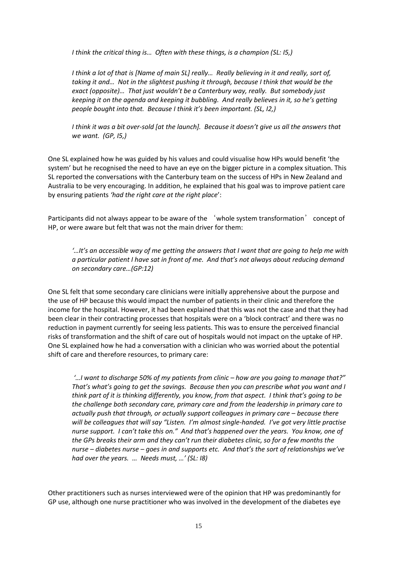*I think the critical thing is… Often with these things, is a champion (SL: I5,)*

*I think a lot of that is [Name of main SL] really… Really believing in it and really, sort of, taking it and… Not in the slightest pushing it through, because I think that would be the exact (opposite)… That just wouldn't be a Canterbury way, really. But somebody just keeping it on the agenda and keeping it bubbling. And really believes in it, so he's getting people bought into that. Because I think it's been important. (SL, I2,)*

*I think it was a bit over-sold [at the launch]. Because it doesn't give us all the answers that we want. (GP, I5,)*

One SL explained how he was guided by his values and could visualise how HPs would benefit 'the system' but he recognised the need to have an eye on the bigger picture in a complex situation. This SL reported the conversations with the Canterbury team on the success of HPs in New Zealand and Australia to be very encouraging. In addition, he explained that his goal was to improve patient care by ensuring patients *'had the right care at the right place*':

Participants did not always appear to be aware of the 'whole system transformation' concept of HP, or were aware but felt that was not the main driver for them:

*'…It's an accessible way of me getting the answers that I want that are going to help me with a particular patient I have sat in front of me. And that's not always about reducing demand on secondary care…(GP:12)* 

One SL felt that some secondary care clinicians were initially apprehensive about the purpose and the use of HP because this would impact the number of patients in their clinic and therefore the income for the hospital. However, it had been explained that this was not the case and that they had been clear in their contracting processes that hospitals were on a 'block contract' and there was no reduction in payment currently for seeing less patients. This was to ensure the perceived financial risks of transformation and the shift of care out of hospitals would not impact on the uptake of HP. One SL explained how he had a conversation with a clinician who was worried about the potential shift of care and therefore resources, to primary care:

*'…I want to discharge 50% of my patients from clinic – how are you going to manage that?" That's what's going to get the savings. Because then you can prescribe what you want and I think part of it is thinking differently, you know, from that aspect. I think that's going to be the challenge both secondary care, primary care and from the leadership in primary care to actually push that through, or actually support colleagues in primary care – because there will be colleagues that will say "Listen. I'm almost single-handed. I've got very little practise nurse support. I can't take this on." And that's happened over the years. You know, one of the GPs breaks their arm and they can't run their diabetes clinic, so for a few months the nurse – diabetes nurse – goes in and supports etc. And that's the sort of relationships we've had over the years. … Needs must, …' (SL: I8)* 

Other practitioners such as nurses interviewed were of the opinion that HP was predominantly for GP use, although one nurse practitioner who was involved in the development of the diabetes eye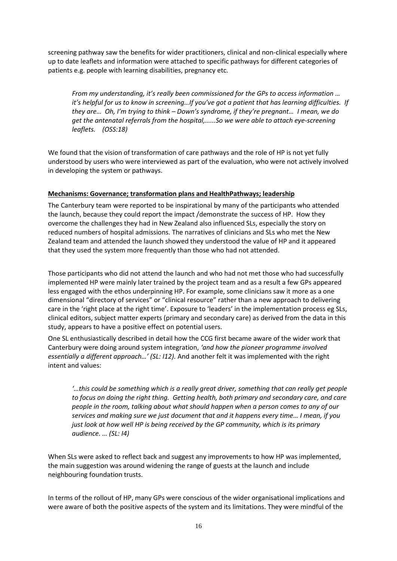screening pathway saw the benefits for wider practitioners, clinical and non-clinical especially where up to date leaflets and information were attached to specific pathways for different categories of patients e.g. people with learning disabilities, pregnancy etc.

*From my understanding, it's really been commissioned for the GPs to access information … it's helpful for us to know in screening…If you've got a patient that has learning difficulties. If they are… Oh, I'm trying to think – Down's syndrome, if they're pregnant… I mean, we do get the antenatal referrals from the hospital,…...So we were able to attach eye-screening leaflets. (OSS:18)*

We found that the vision of transformation of care pathways and the role of HP is not yet fully understood by users who were interviewed as part of the evaluation, who were not actively involved in developing the system or pathways.

### **Mechanisms: Governance; transformation plans and HealthPathways; leadership**

The Canterbury team were reported to be inspirational by many of the participants who attended the launch, because they could report the impact /demonstrate the success of HP. How they overcome the challenges they had in New Zealand also influenced SLs, especially the story on reduced numbers of hospital admissions. The narratives of clinicians and SLs who met the New Zealand team and attended the launch showed they understood the value of HP and it appeared that they used the system more frequently than those who had not attended.

Those participants who did not attend the launch and who had not met those who had successfully implemented HP were mainly later trained by the project team and as a result a few GPs appeared less engaged with the ethos underpinning HP. For example, some clinicians saw it more as a one dimensional "directory of services" or "clinical resource" rather than a new approach to delivering care in the 'right place at the right time'. Exposure to 'leaders' in the implementation process eg SLs, clinical editors, subject matter experts (primary and secondary care) as derived from the data in this study, appears to have a positive effect on potential users.

One SL enthusiastically described in detail how the CCG first became aware of the wider work that Canterbury were doing around system integration, *'and how the pioneer programme involved essentially a different approach…' (SL: I12).* And another felt it was implemented with the right intent and values:

*'…this could be something which is a really great driver, something that can really get people to focus on doing the right thing. Getting health, both primary and secondary care, and care people in the room, talking about what should happen when a person comes to any of our services and making sure we just document that and it happens every time… I mean, if you just look at how well HP is being received by the GP community, which is its primary audience. … (SL: I4)*

When SLs were asked to reflect back and suggest any improvements to how HP was implemented, the main suggestion was around widening the range of guests at the launch and include neighbouring foundation trusts.

In terms of the rollout of HP, many GPs were conscious of the wider organisational implications and were aware of both the positive aspects of the system and its limitations. They were mindful of the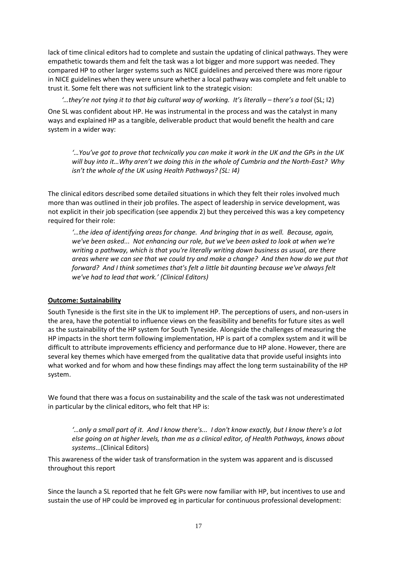lack of time clinical editors had to complete and sustain the updating of clinical pathways. They were empathetic towards them and felt the task was a lot bigger and more support was needed. They compared HP to other larger systems such as NICE guidelines and perceived there was more rigour in NICE guidelines when they were unsure whether a local pathway was complete and felt unable to trust it. Some felt there was not sufficient link to the strategic vision:

*'…they're not tying it to that big cultural way of working. It's literally – there's a tool* (SL; I2)

One SL was confident about HP. He was instrumental in the process and was the catalyst in many ways and explained HP as a tangible, deliverable product that would benefit the health and care system in a wider way:

*'…You've got to prove that technically you can make it work in the UK and the GPs in the UK will buy into it…Why aren't we doing this in the whole of Cumbria and the North-East? Why isn't the whole of the UK using Health Pathways? (SL: I4)* 

The clinical editors described some detailed situations in which they felt their roles involved much more than was outlined in their job profiles. The aspect of leadership in service development, was not explicit in their job specification (see appendix 2) but they perceived this was a key competency required for their role:

*'…the idea of identifying areas for change. And bringing that in as well. Because, again, we've been asked... Not enhancing our role, but we've been asked to look at when we're writing a pathway, which is that you're literally writing down business as usual, are there areas where we can see that we could try and make a change? And then how do we put that forward? And I think sometimes that's felt a little bit daunting because we've always felt we've had to lead that work.' (Clinical Editors)* 

## **Outcome: Sustainability**

South Tyneside is the first site in the UK to implement HP. The perceptions of users, and non-users in the area, have the potential to influence views on the feasibility and benefits for future sites as well as the sustainability of the HP system for South Tyneside. Alongside the challenges of measuring the HP impacts in the short term following implementation, HP is part of a complex system and it will be difficult to attribute improvements efficiency and performance due to HP alone. However, there are several key themes which have emerged from the qualitative data that provide useful insights into what worked and for whom and how these findings may affect the long term sustainability of the HP system.

We found that there was a focus on sustainability and the scale of the task was not underestimated in particular by the clinical editors, who felt that HP is:

*'…only a small part of it. And I know there's... I don't know exactly, but I know there's a lot else going on at higher levels, than me as a clinical editor, of Health Pathways, knows about systems*…(Clinical Editors)

This awareness of the wider task of transformation in the system was apparent and is discussed throughout this report

Since the launch a SL reported that he felt GPs were now familiar with HP, but incentives to use and sustain the use of HP could be improved eg in particular for continuous professional development: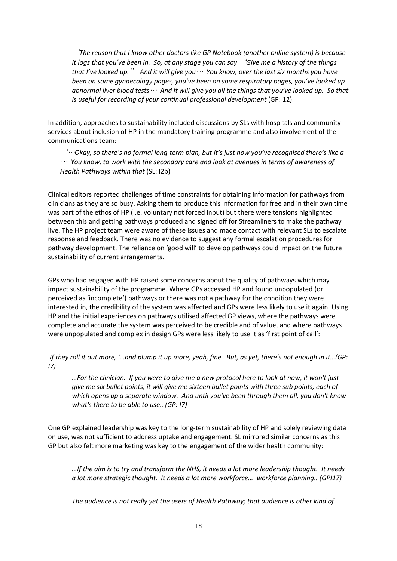'*The reason that I know other doctors like GP Notebook (another online system) is because it logs that you've been in. So, at any stage you can say* "*Give me a history of the things that I've looked up.*" *And it will give you*… *You know, over the last six months you have been on some gynaecology pages, you've been on some respiratory pages, you've looked up abnormal liver blood tests*… *And it will give you all the things that you've looked up. So that is useful for recording of your continual professional development* (GP: 12).

In addition, approaches to sustainability included discussions by SLs with hospitals and community services about inclusion of HP in the mandatory training programme and also involvement of the communications team:

'…*Okay, so there's no formal long-term plan, but it's just now you've recognised there's like a* … *You know, to work with the secondary care and look at avenues in terms of awareness of Health Pathways within that* (SL: I2b)

Clinical editors reported challenges of time constraints for obtaining information for pathways from clinicians as they are so busy. Asking them to produce this information for free and in their own time was part of the ethos of HP (i.e. voluntary not forced input) but there were tensions highlighted between this and getting pathways produced and signed off for Streamliners to make the pathway live. The HP project team were aware of these issues and made contact with relevant SLs to escalate response and feedback. There was no evidence to suggest any formal escalation procedures for pathway development. The reliance on 'good will' to develop pathways could impact on the future sustainability of current arrangements.

GPs who had engaged with HP raised some concerns about the quality of pathways which may impact sustainability of the programme. Where GPs accessed HP and found unpopulated (or perceived as 'incomplete') pathways or there was not a pathway for the condition they were interested in, the credibility of the system was affected and GPs were less likely to use it again. Using HP and the initial experiences on pathways utilised affected GP views, where the pathways were complete and accurate the system was perceived to be credible and of value, and where pathways were unpopulated and complex in design GPs were less likely to use it as 'first point of call':

*If they roll it out more, '…and plump it up more, yeah, fine. But, as yet, there's not enough in it…(GP: I7)*

*…For the clinician. If you were to give me a new protocol here to look at now, it won't just give me six bullet points, it will give me sixteen bullet points with three sub points, each of which opens up a separate window. And until you've been through them all, you don't know what's there to be able to use…(GP: I7)*

One GP explained leadership was key to the long-term sustainability of HP and solely reviewing data on use, was not sufficient to address uptake and engagement. SL mirrored similar concerns as this GP but also felt more marketing was key to the engagement of the wider health community:

*…If the aim is to try and transform the NHS, it needs a lot more leadership thought. It needs a lot more strategic thought. It needs a lot more workforce… workforce planning.. (GPI17)*

*The audience is not really yet the users of Health Pathway; that audience is other kind of*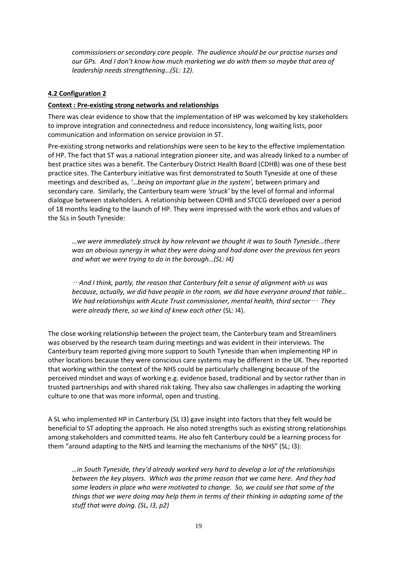*commissioners or secondary care people. The audience should be our practise nurses and our GPs. And I don't know how much marketing we do with them so maybe that area of leadership needs strengthening…(SL: 12).*

## **4.2 Configuration 2**

### **Context : Pre-existing strong networks and relationships**

There was clear evidence to show that the implementation of HP was welcomed by key stakeholders to improve integration and connectedness and reduce inconsistency, long waiting lists, poor communication and information on service provision in ST.

Pre-existing strong networks and relationships were seen to be key to the effective implementation of HP. The fact that ST was a national integration pioneer site, and was already linked to a number of best practice sites was a benefit. The Canterbury District Health Board (CDHB) was one of these best practice sites. The Canterbury initiative was first demonstrated to South Tyneside at one of these meetings and described as, *'…being an important glue in the system',* between primary and secondary care. Similarly, the Canterbury team were *'struck'* by the level of formal and informal dialogue between stakeholders. A relationship between CDHB and STCCG developed over a period of 18 months leading to the launch of HP. They were impressed with the work ethos and values of the SLs in South Tyneside:

*…we were immediately struck by how relevant we thought it was to South Tyneside…there was an obvious synergy in what they were doing and had done over the previous ten years and what we were trying to do in the borough…(SL: I4)* 

…*And I think, partly, the reason that Canterbury felt a sense of alignment with us was because, actually, we did have people in the room, we did have everyone around that table… We had relationships with Acute Trust commissioner, mental health, third sector*… *They were already there, so we kind of knew each other* (SL: I4).

The close working relationship between the project team, the Canterbury team and Streamliners was observed by the research team during meetings and was evident in their interviews. The Canterbury team reported giving more support to South Tyneside than when implementing HP in other locations because they were conscious care systems may be different in the UK. They reported that working within the context of the NHS could be particularly challenging because of the perceived mindset and ways of working e.g. evidence based, traditional and by sector rather than in trusted partnerships and with shared risk taking. They also saw challenges in adapting the working culture to one that was more informal, open and trusting.

A SL who implemented HP in Canterbury (SL I3) gave insight into factors that they felt would be beneficial to ST adopting the approach. He also noted strengths such as existing strong relationships among stakeholders and committed teams. He also felt Canterbury could be a learning process for them "around adapting to the NHS and learning the mechanisms of the NHS" (SL; I3):

*…in South Tyneside, they'd already worked very hard to develop a lot of the relationships between the key players. Which was the prime reason that we came here. And they had some leaders in place who were motivated to change. So, we could see that some of the things that we were doing may help them in terms of their thinking in adapting some of the stuff that were doing. (SL, I3, p2)*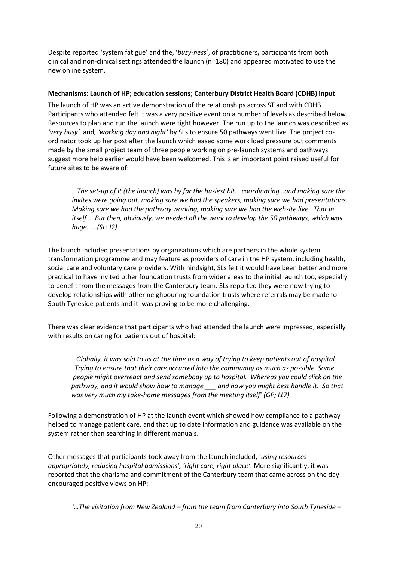Despite reported 'system fatigue' and the, '*busy-ness*', of practitioners**,** participants from both clinical and non-clinical settings attended the launch (n=180) and appeared motivated to use the new online system.

### **Mechanisms: Launch of HP; education sessions; Canterbury District Health Board (CDHB) input**

The launch of HP was an active demonstration of the relationships across ST and with CDHB. Participants who attended felt it was a very positive event on a number of levels as described below. Resources to plan and run the launch were tight however. The run up to the launch was described as *'very busy',* and*, 'working day and night'* by SLs to ensure 50 pathways went live. The project coordinator took up her post after the launch which eased some work load pressure but comments made by the small project team of three people working on pre-launch systems and pathways suggest more help earlier would have been welcomed. This is an important point raised useful for future sites to be aware of:

*…The set-up of it (the launch) was by far the busiest bit… coordinating…and making sure the invites were going out, making sure we had the speakers, making sure we had presentations. Making sure we had the pathway working, making sure we had the website live. That in itself… But then, obviously, we needed all the work to develop the 50 pathways, which was huge. …(SL: I2)*

The launch included presentations by organisations which are partners in the whole system transformation programme and may feature as providers of care in the HP system, including health, social care and voluntary care providers. With hindsight, SLs felt it would have been better and more practical to have invited other foundation trusts from wider areas to the initial launch too, especially to benefit from the messages from the Canterbury team. SLs reported they were now trying to develop relationships with other neighbouring foundation trusts where referrals may be made for South Tyneside patients and it was proving to be more challenging.

There was clear evidence that participants who had attended the launch were impressed, especially with results on caring for patients out of hospital:

 *Globally, it was sold to us at the time as a way of trying to keep patients out of hospital. Trying to ensure that their care occurred into the community as much as possible. Some people might overreact and send somebody up to hospital. Whereas you could click on the pathway, and it would show how to manage \_\_\_ and how you might best handle it. So that was very much my take-home messages from the meeting itself' (GP; I17).* 

Following a demonstration of HP at the launch event which showed how compliance to a pathway helped to manage patient care, and that up to date information and guidance was available on the system rather than searching in different manuals.

Other messages that participants took away from the launch included, '*using resources appropriately, reducing hospital admissions', 'right care, right place'.* More significantly, it was reported that the charisma and commitment of the Canterbury team that came across on the day encouraged positive views on HP:

*'…The visitation from New Zealand – from the team from Canterbury into South Tyneside –*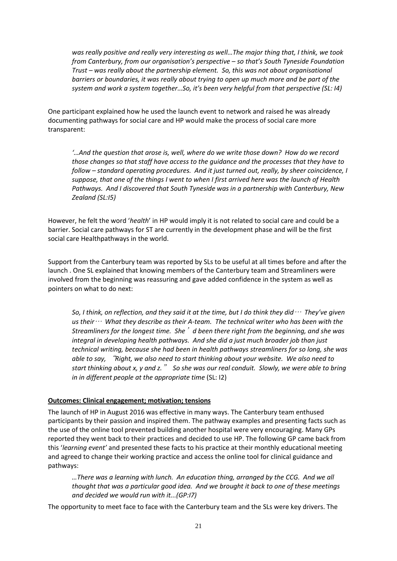*was really positive and really very interesting as well…The major thing that, I think, we took from Canterbury, from our organisation's perspective – so that's South Tyneside Foundation Trust – was really about the partnership element. So, this was not about organisational barriers or boundaries, it was really about trying to open up much more and be part of the system and work a system together…So, it's been very helpful from that perspective (SL: I4)*

One participant explained how he used the launch event to network and raised he was already documenting pathways for social care and HP would make the process of social care more transparent:

*'…And the question that arose is, well, where do we write those down? How do we record those changes so that staff have access to the guidance and the processes that they have to follow – standard operating procedures. And it just turned out, really, by sheer coincidence, I suppose, that one of the things I went to when I first arrived here was the launch of Health Pathways. And I discovered that South Tyneside was in a partnership with Canterbury, New Zealand (SL:I5)*

However, he felt the word '*health*' in HP would imply it is not related to social care and could be a barrier. Social care pathways for ST are currently in the development phase and will be the first social care Healthpathways in the world.

Support from the Canterbury team was reported by SLs to be useful at all times before and after the launch . One SL explained that knowing members of the Canterbury team and Streamliners were involved from the beginning was reassuring and gave added confidence in the system as well as pointers on what to do next:

*So, I think, on reflection, and they said it at the time, but I do think they did*… *They've given us their*… *What they describe as their A-team. The technical writer who has been with the Streamliners for the longest time. She*'*d been there right from the beginning, and she was integral in developing health pathways. And she did a just much broader job than just technical writing, because she had been in health pathways streamliners for so long, she was able to say,* "*Right, we also need to start thinking about your website. We also need to start thinking about x, y and z.*" *So she was our real conduit. Slowly, we were able to bring in in different people at the appropriate time* (SL: I2)

#### **Outcomes: Clinical engagement; motivation; tensions**

The launch of HP in August 2016 was effective in many ways. The Canterbury team enthused participants by their passion and inspired them. The pathway examples and presenting facts such as the use of the online tool prevented building another hospital were very encouraging. Many GPs reported they went back to their practices and decided to use HP. The following GP came back from this '*learning event'* and presented these facts to his practice at their monthly educational meeting and agreed to change their working practice and access the online tool for clinical guidance and pathways:

*…There was a learning with lunch. An education thing, arranged by the CCG. And we all thought that was a particular good idea. And we brought it back to one of these meetings and decided we would run with it...(GP:I7)*

The opportunity to meet face to face with the Canterbury team and the SLs were key drivers. The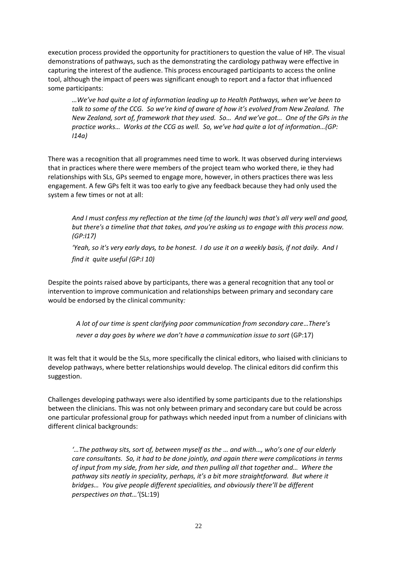execution process provided the opportunity for practitioners to question the value of HP. The visual demonstrations of pathways, such as the demonstrating the cardiology pathway were effective in capturing the interest of the audience. This process encouraged participants to access the online tool, although the impact of peers was significant enough to report and a factor that influenced some participants:

*…We've had quite a lot of information leading up to Health Pathways, when we've been to talk to some of the CCG. So we're kind of aware of how it's evolved from New Zealand. The New Zealand, sort of, framework that they used. So… And we've got… One of the GPs in the practice works… Works at the CCG as well. So, we've had quite a lot of information…(GP: I14a)*

There was a recognition that all programmes need time to work. It was observed during interviews that in practices where there were members of the project team who worked there, ie they had relationships with SLs, GPs seemed to engage more, however, in others practices there was less engagement. A few GPs felt it was too early to give any feedback because they had only used the system a few times or not at all:

*And I must confess my reflection at the time (of the launch) was that's all very well and good, but there's a timeline that that takes, and you're asking us to engage with this process now. (GP:I17)*

*'Yeah, so it's very early days, to be honest. I do use it on a weekly basis, if not daily. And I find it quite useful (GP:I 10)* 

Despite the points raised above by participants, there was a general recognition that any tool or intervention to improve communication and relationships between primary and secondary care would be endorsed by the clinical community*:* 

 *A lot of our time is spent clarifying poor communication from secondary care*…*There's never a day goes by where we don't have a communication issue to sort* (GP:17)

It was felt that it would be the SLs, more specifically the clinical editors, who liaised with clinicians to develop pathways, where better relationships would develop. The clinical editors did confirm this suggestion.

Challenges developing pathways were also identified by some participants due to the relationships between the clinicians. This was not only between primary and secondary care but could be across one particular professional group for pathways which needed input from a number of clinicians with different clinical backgrounds:

*'…The pathway sits, sort of, between myself as the … and with…, who's one of our elderly care consultants. So, it had to be done jointly, and again there were complications in terms of input from my side, from her side, and then pulling all that together and… Where the pathway sits neatly in speciality, perhaps, it's a bit more straightforward. But where it bridges… You give people different specialities, and obviously there'll be different perspectives on that…'*(SL:19)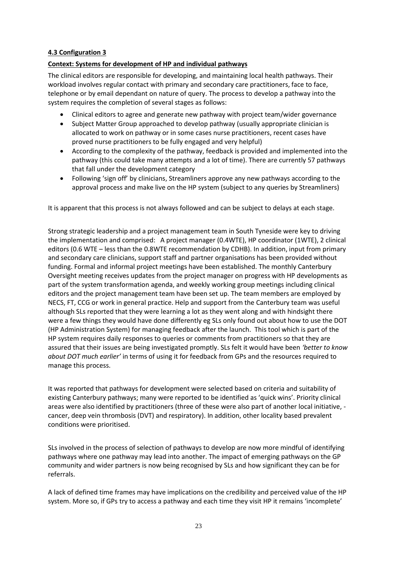## **4.3 Configuration 3**

### **Context: Systems for development of HP and individual pathways**

The clinical editors are responsible for developing, and maintaining local health pathways. Their workload involves regular contact with primary and secondary care practitioners, face to face, telephone or by email dependant on nature of query. The process to develop a pathway into the system requires the completion of several stages as follows:

- Clinical editors to agree and generate new pathway with project team/wider governance
- Subject Matter Group approached to develop pathway (usually appropriate clinician is allocated to work on pathway or in some cases nurse practitioners, recent cases have proved nurse practitioners to be fully engaged and very helpful)
- According to the complexity of the pathway, feedback is provided and implemented into the pathway (this could take many attempts and a lot of time). There are currently 57 pathways that fall under the development category
- Following 'sign off' by clinicians, Streamliners approve any new pathways according to the approval process and make live on the HP system (subject to any queries by Streamliners)

It is apparent that this process is not always followed and can be subject to delays at each stage.

Strong strategic leadership and a project management team in South Tyneside were key to driving the implementation and comprised: A project manager (0.4WTE), HP coordinator (1WTE), 2 clinical editors (0.6 WTE – less than the 0.8WTE recommendation by CDHB). In addition, input from primary and secondary care clinicians, support staff and partner organisations has been provided without funding. Formal and informal project meetings have been established. The monthly Canterbury Oversight meeting receives updates from the project manager on progress with HP developments as part of the system transformation agenda, and weekly working group meetings including clinical editors and the project management team have been set up. The team members are employed by NECS, FT, CCG or work in general practice. Help and support from the Canterbury team was useful although SLs reported that they were learning a lot as they went along and with hindsight there were a few things they would have done differently eg SLs only found out about how to use the DOT (HP Administration System) for managing feedback after the launch. This tool which is part of the HP system requires daily responses to queries or comments from practitioners so that they are assured that their issues are being investigated promptly. SLs felt it would have been *'better to know about DOT much earlier'* in terms of using it for feedback from GPs and the resources required to manage this process.

It was reported that pathways for development were selected based on criteria and suitability of existing Canterbury pathways; many were reported to be identified as 'quick wins'. Priority clinical areas were also identified by practitioners (three of these were also part of another local initiative, cancer, deep vein thrombosis (DVT) and respiratory). In addition, other locality based prevalent conditions were prioritised.

SLs involved in the process of selection of pathways to develop are now more mindful of identifying pathways where one pathway may lead into another. The impact of emerging pathways on the GP community and wider partners is now being recognised by SLs and how significant they can be for referrals.

A lack of defined time frames may have implications on the credibility and perceived value of the HP system. More so, if GPs try to access a pathway and each time they visit HP it remains 'incomplete'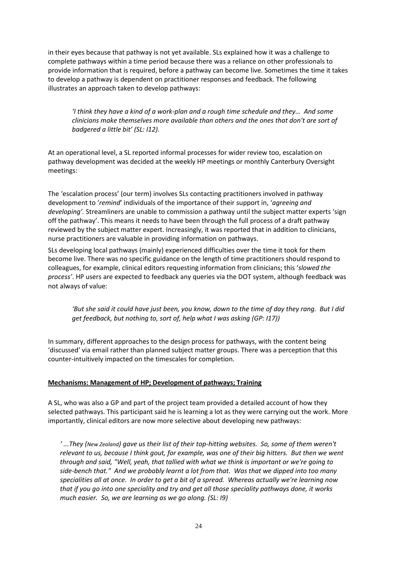in their eyes because that pathway is not yet available. SLs explained how it was a challenge to complete pathways within a time period because there was a reliance on other professionals to provide information that is required, before a pathway can become live. Sometimes the time it takes to develop a pathway is dependent on practitioner responses and feedback. The following illustrates an approach taken to develop pathways:

*'I think they have a kind of a work-plan and a rough time schedule and they… And some clinicians make themselves more available than others and the ones that don't are sort of badgered a little bit' (SL: I12).* 

At an operational level, a SL reported informal processes for wider review too, escalation on pathway development was decided at the weekly HP meetings or monthly Canterbury Oversight meetings:

The 'escalation process' (our term) involves SLs contacting practitioners involved in pathway development to '*remind*' individuals of the importance of their support in, '*agreeing and developing'.* Streamliners are unable to commission a pathway until the subject matter experts 'sign off the pathway'. This means it needs to have been through the full process of a draft pathway reviewed by the subject matter expert. Increasingly, it was reported that in addition to clinicians, nurse practitioners are valuable in providing information on pathways.

SLs developing local pathways (mainly) experienced difficulties over the time it took for them become live. There was no specific guidance on the length of time practitioners should respond to colleagues, for example, clinical editors requesting information from clinicians; this '*slowed the process'*. HP users are expected to feedback any queries via the DOT system, although feedback was not always of value:

*'But she said it could have just been, you know, down to the time of day they rang. But I did get feedback, but nothing to, sort of, help what I was asking (GP: I17))*

In summary, different approaches to the design process for pathways, with the content being 'discussed' via email rather than planned subject matter groups. There was a perception that this counter-intuitively impacted on the timescales for completion.

## **Mechanisms: Management of HP; Development of pathways; Training**

A SL, who was also a GP and part of the project team provided a detailed account of how they selected pathways. This participant said he is learning a lot as they were carrying out the work. More importantly, clinical editors are now more selective about developing new pathways:

*' ...They (New Zealand) gave us their list of their top-hitting websites. So, some of them weren't relevant to us, because I think gout, for example, was one of their big hitters. But then we went through and said, "Well, yeah, that tallied with what we think is important or we're going to side-bench that." And we probably learnt a lot from that. Was that we dipped into too many specialities all at once. In order to get a bit of a spread. Whereas actually we're learning now that if you go into one speciality and try and get all those speciality pathways done, it works much easier. So, we are learning as we go along. (SL: I9)*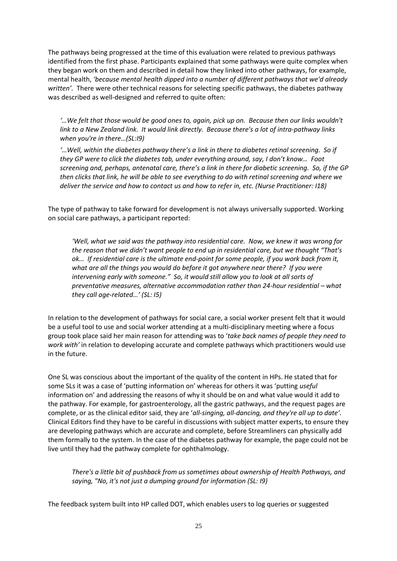The pathways being progressed at the time of this evaluation were related to previous pathways identified from the first phase. Participants explained that some pathways were quite complex when they began work on them and described in detail how they linked into other pathways, for example, mental health, *'because mental health dipped into a number of different pathways that we'd already written'.* There were other technical reasons for selecting specific pathways, the diabetes pathway was described as well-designed and referred to quite often:

*'…We felt that those would be good ones to, again, pick up on. Because then our links wouldn't link to a New Zealand link. It would link directly. Because there's a lot of intra-pathway links when you're in there…(SL:I9)*

*'…Well, within the diabetes pathway there's a link in there to diabetes retinal screening. So if they GP were to click the diabetes tab, under everything around, say, I don't know… Foot screening and, perhaps, antenatal care, there's a link in there for diabetic screening. So, if the GP then clicks that link, he will be able to see everything to do with retinal screening and where we deliver the service and how to contact us and how to refer in, etc. (Nurse Practitioner: I18)*

The type of pathway to take forward for development is not always universally supported. Working on social care pathways, a participant reported:

*'Well, what we said was the pathway into residential care. Now, we knew it was wrong for the reason that we didn't want people to end up in residential care, but we thought "That's ok… If residential care is the ultimate end-point for some people, if you work back from it, what are all the things you would do before it got anywhere near there? If you were intervening early with someone." So, it would still allow you to look at all sorts of preventative measures, alternative accommodation rather than 24-hour residential – what they call age-related…' (SL: I5)*

In relation to the development of pathways for social care, a social worker present felt that it would be a useful tool to use and social worker attending at a multi-disciplinary meeting where a focus group took place said her main reason for attending was to '*take back names of people they need to work with'* in relation to developing accurate and complete pathways which practitioners would use in the future.

One SL was conscious about the important of the quality of the content in HPs. He stated that for some SLs it was a case of 'putting information on' whereas for others it was 'putting *useful* information on' and addressing the reasons of why it should be on and what value would it add to the pathway. For example, for gastroenterology, all the gastric pathways, and the request pages are complete, or as the clinical editor said, they are '*all-singing, all-dancing, and they're all up to date'.*  Clinical Editors find they have to be careful in discussions with subject matter experts, to ensure they are developing pathways which are accurate and complete, before Streamliners can physically add them formally to the system. In the case of the diabetes pathway for example, the page could not be live until they had the pathway complete for ophthalmology.

*There's a little bit of pushback from us sometimes about ownership of Health Pathways, and saying, "No, it's not just a dumping ground for information (SL: I9)* 

The feedback system built into HP called DOT, which enables users to log queries or suggested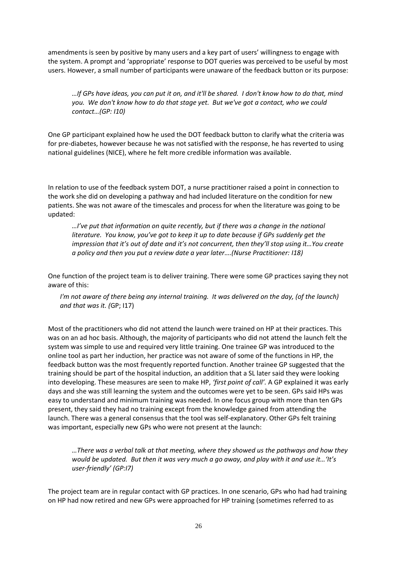amendments is seen by positive by many users and a key part of users' willingness to engage with the system. A prompt and 'appropriate' response to DOT queries was perceived to be useful by most users. However, a small number of participants were unaware of the feedback button or its purpose:

*…If GPs have ideas, you can put it on, and it'll be shared. I don't know how to do that, mind you. We don't know how to do that stage yet. But we've got a contact, who we could contact…(GP: I10)*

One GP participant explained how he used the DOT feedback button to clarify what the criteria was for pre-diabetes, however because he was not satisfied with the response, he has reverted to using national guidelines (NICE), where he felt more credible information was available.

In relation to use of the feedback system DOT, a nurse practitioner raised a point in connection to the work she did on developing a pathway and had included literature on the condition for new patients. She was not aware of the timescales and process for when the literature was going to be updated:

*…I've put that information on quite recently, but if there was a change in the national literature. You know, you've got to keep it up to date because if GPs suddenly get the impression that it's out of date and it's not concurrent, then they'll stop using it…You create a policy and then you put a review date a year later….(Nurse Practitioner: I18)* 

One function of the project team is to deliver training. There were some GP practices saying they not aware of this:

*I'm not aware of there being any internal training. It was delivered on the day, (of the launch) and that was it. (*GP; I17)

Most of the practitioners who did not attend the launch were trained on HP at their practices. This was on an ad hoc basis. Although, the majority of participants who did not attend the launch felt the system was simple to use and required very little training. One trainee GP was introduced to the online tool as part her induction, her practice was not aware of some of the functions in HP, the feedback button was the most frequently reported function. Another trainee GP suggested that the training should be part of the hospital induction, an addition that a SL later said they were looking into developing. These measures are seen to make HP, *'first point of call'.* A GP explained it was early days and she was still learning the system and the outcomes were yet to be seen. GPs said HPs was easy to understand and minimum training was needed. In one focus group with more than ten GPs present, they said they had no training except from the knowledge gained from attending the launch. There was a general consensus that the tool was self-explanatory. Other GPs felt training was important, especially new GPs who were not present at the launch:

*…There was a verbal talk at that meeting, where they showed us the pathways and how they would be updated. But then it was very much a go away, and play with it and use it…'It's user-friendly' (GP:I7)*

The project team are in regular contact with GP practices. In one scenario, GPs who had had training on HP had now retired and new GPs were approached for HP training (sometimes referred to as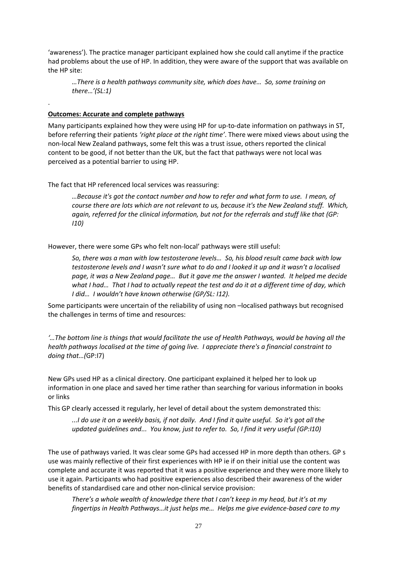'awareness'). The practice manager participant explained how she could call anytime if the practice had problems about the use of HP. In addition, they were aware of the support that was available on the HP site:

*…There is a health pathways community site, which does have… So, some training on there…'(SL:1)*

#### **Outcomes: Accurate and complete pathways**

.

Many participants explained how they were using HP for up-to-date information on pathways in ST, before referring their patients *'right place at the right time'*. There were mixed views about using the non-local New Zealand pathways, some felt this was a trust issue, others reported the clinical content to be good, if not better than the UK, but the fact that pathways were not local was perceived as a potential barrier to using HP.

The fact that HP referenced local services was reassuring:

*…Because it's got the contact number and how to refer and what form to use. I mean, of course there are lots which are not relevant to us, because it's the New Zealand stuff. Which, again, referred for the clinical information, but not for the referrals and stuff like that (GP: I10)*

However, there were some GPs who felt non-local' pathways were still useful:

*So, there was a man with low testosterone levels… So, his blood result came back with low testosterone levels and I wasn't sure what to do and I looked it up and it wasn't a localised page, it was a New Zealand page… But it gave me the answer I wanted. It helped me decide what I had… That I had to actually repeat the test and do it at a different time of day, which I did… I wouldn't have known otherwise (GP/SL: I12).* 

Some participants were uncertain of the reliability of using non –localised pathways but recognised the challenges in terms of time and resources:

*'…The bottom line is things that would facilitate the use of Health Pathways, would be having all the health pathways localised at the time of going live. I appreciate there's a financial constraint to doing that…(*GP:I7)

New GPs used HP as a clinical directory. One participant explained it helped her to look up information in one place and saved her time rather than searching for various information in books or links

This GP clearly accessed it regularly, her level of detail about the system demonstrated this:

*...I do use it on a weekly basis, if not daily. And I find it quite useful. So it's got all the updated guidelines and... You know, just to refer to. So, I find it very useful (GP:I10)*

The use of pathways varied. It was clear some GPs had accessed HP in more depth than others. GP s use was mainly reflective of their first experiences with HP ie if on their initial use the content was complete and accurate it was reported that it was a positive experience and they were more likely to use it again. Participants who had positive experiences also described their awareness of the wider benefits of standardised care and other non-clinical service provision:

*There's a whole wealth of knowledge there that I can't keep in my head, but it's at my fingertips in Health Pathways…it just helps me… Helps me give evidence-based care to my*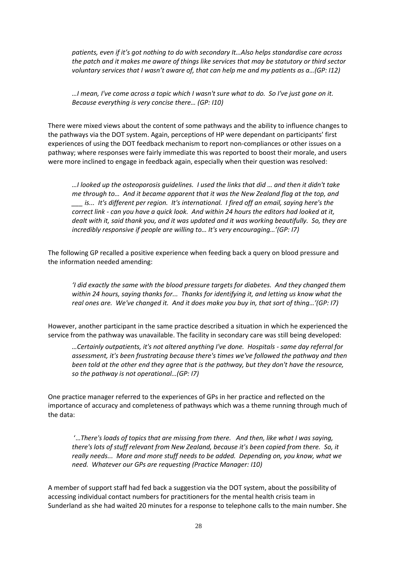*patients, even if it's got nothing to do with secondary It…Also helps standardise care across the patch and it makes me aware of things like services that may be statutory or third sector voluntary services that I wasn't aware of, that can help me and my patients as a…(GP: I12)*

*…I mean, I've come across a topic which I wasn't sure what to do. So I've just gone on it. Because everything is very concise there… (GP: I10)*

There were mixed views about the content of some pathways and the ability to influence changes to the pathways via the DOT system. Again, perceptions of HP were dependant on participants' first experiences of using the DOT feedback mechanism to report non-compliances or other issues on a pathway; where responses were fairly immediate this was reported to boost their morale, and users were more inclined to engage in feedback again, especially when their question was resolved:

*…I looked up the osteoporosis guidelines. I used the links that did … and then it didn't take me through to… And it became apparent that it was the New Zealand flag at the top, and \_\_\_ is... It's different per region. It's international. I fired off an email, saying here's the correct link - can you have a quick look. And within 24 hours the editors had looked at it, dealt with it, said thank you, and it was updated and it was working beautifully. So, they are incredibly responsive if people are willing to… It's very encouraging…'(GP: I7)* 

The following GP recalled a positive experience when feeding back a query on blood pressure and the information needed amending:

*'I did exactly the same with the blood pressure targets for diabetes. And they changed them within 24 hours, saying thanks for... Thanks for identifying it, and letting us know what the real ones are. We've changed it. And it does make you buy in, that sort of thing…'(GP: I7)*

However, another participant in the same practice described a situation in which he experienced the service from the pathway was unavailable. The facility in secondary care was still being developed:

*…Certainly outpatients, it's not altered anything I've done. Hospitals - same day referral for assessment, it's been frustrating because there's times we've followed the pathway and then been told at the other end they agree that is the pathway, but they don't have the resource, so the pathway is not operational…(GP: I7)*

One practice manager referred to the experiences of GPs in her practice and reflected on the importance of accuracy and completeness of pathways which was a theme running through much of the data:

'…*There's loads of topics that are missing from there. And then, like what I was saying, there's lots of stuff relevant from New Zealand, because it's been copied from there. So, it really needs... More and more stuff needs to be added. Depending on, you know, what we need. Whatever our GPs are requesting (Practice Manager: I10)*

A member of support staff had fed back a suggestion via the DOT system, about the possibility of accessing individual contact numbers for practitioners for the mental health crisis team in Sunderland as she had waited 20 minutes for a response to telephone calls to the main number. She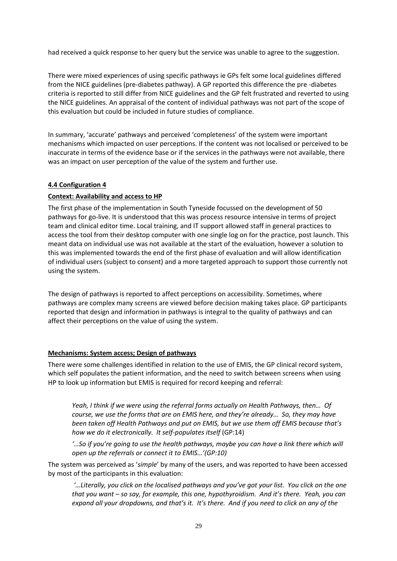had received a quick response to her query but the service was unable to agree to the suggestion.

There were mixed experiences of using specific pathways ie GPs felt some local guidelines differed from the NICE guidelines (pre-diabetes pathway). A GP reported this difference the pre -diabetes criteria is reported to still differ from NICE guidelines and the GP felt frustrated and reverted to using the NICE guidelines. An appraisal of the content of individual pathways was not part of the scope of this evaluation but could be included in future studies of compliance.

In summary, 'accurate' pathways and perceived 'completeness' of the system were important mechanisms which impacted on user perceptions. If the content was not localised or perceived to be inaccurate in terms of the evidence base or if the services in the pathways were not available, there was an impact on user perception of the value of the system and further use.

## **4.4 Configuration 4**

### **Context: Availability and access to HP**

The first phase of the implementation in South Tyneside focussed on the development of 50 pathways for go-live. It is understood that this was process resource intensive in terms of project team and clinical editor time. Local training, and IT support allowed staff in general practices to access the tool from their desktop computer with one single log on for the practice, post launch. This meant data on individual use was not available at the start of the evaluation, however a solution to this was implemented towards the end of the first phase of evaluation and will allow identification of individual users (subject to consent) and a more targeted approach to support those currently not using the system.

The design of pathways is reported to affect perceptions on accessibility. Sometimes, where pathways are complex many screens are viewed before decision making takes place. GP participants reported that design and information in pathways is integral to the quality of pathways and can affect their perceptions on the value of using the system.

#### **Mechanisms: System access; Design of pathways**

There were some challenges identified in relation to the use of EMIS, the GP clinical record system, which self populates the patient information, and the need to switch between screens when using HP to look up information but EMIS is required for record keeping and referral:

*Yeah, I think if we were using the referral forms actually on Health Pathways, then… Of course, we use the forms that are on EMIS here, and they're already… So, they may have been taken off Health Pathways and put on EMIS, but we use them off EMIS because that's how we do it electronically. It self-populates itself* (GP:14)

*'…So if you're going to use the health pathways, maybe you can have a link there which will open up the referrals or connect it to EMIS…'(GP:10)*

The system was perceived as '*simple*' by many of the users, and was reported to have been accessed by most of the participants in this evaluation:

*'…Literally, you click on the localised pathways and you've got your list. You click on the one that you want – so say, for example, this one, hypothyroidism. And it's there. Yeah, you can expand all your dropdowns, and that's it. It's there. And if you need to click on any of the*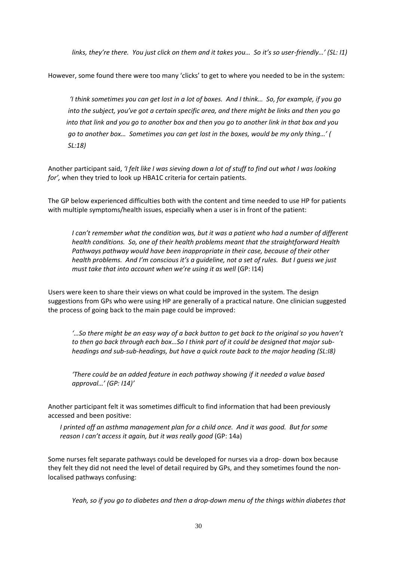*links, they're there. You just click on them and it takes you… So it's so user-friendly…' (SL: I1)* 

However, some found there were too many 'clicks' to get to where you needed to be in the system:

 *'I think sometimes you can get lost in a lot of boxes. And I think… So, for example, if you go into the subject, you've got a certain specific area, and there might be links and then you go into that link and you go to another box and then you go to another link in that box and you go to another box… Sometimes you can get lost in the boxes, would be my only thing…' ( SL:18)*

Another participant said, *'I felt like I was sieving down a lot of stuff to find out what I was looking for',* when they tried to look up HBA1C criteria for certain patients.

The GP below experienced difficulties both with the content and time needed to use HP for patients with multiple symptoms/health issues, especially when a user is in front of the patient:

*I can't remember what the condition was, but it was a patient who had a number of different health conditions. So, one of their health problems meant that the straightforward Health Pathways pathway would have been inappropriate in their case, because of their other health problems. And I'm conscious it's a guideline, not a set of rules. But I guess we just must take that into account when we're using it as well* (GP: 114)

Users were keen to share their views on what could be improved in the system. The design suggestions from GPs who were using HP are generally of a practical nature. One clinician suggested the process of going back to the main page could be improved:

*'…So there might be an easy way of a back button to get back to the original so you haven't to then go back through each box…So I think part of it could be designed that major subheadings and sub-sub-headings, but have a quick route back to the major heading (SL:I8)*

*'There could be an added feature in each pathway showing if it needed a value based approval…' (GP: I14)'*

Another participant felt it was sometimes difficult to find information that had been previously accessed and been positive:

*I printed off an asthma management plan for a child once. And it was good. But for some reason I can't access it again, but it was really good* (GP: 14a)

Some nurses felt separate pathways could be developed for nurses via a drop- down box because they felt they did not need the level of detail required by GPs, and they sometimes found the nonlocalised pathways confusing:

*Yeah, so if you go to diabetes and then a drop-down menu of the things within diabetes that*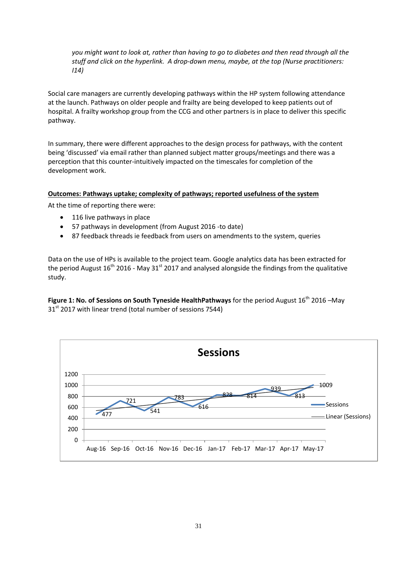*you might want to look at, rather than having to go to diabetes and then read through all the stuff and click on the hyperlink. A drop-down menu, maybe, at the top (Nurse practitioners: I14)*

Social care managers are currently developing pathways within the HP system following attendance at the launch. Pathways on older people and frailty are being developed to keep patients out of hospital. A frailty workshop group from the CCG and other partners is in place to deliver this specific pathway.

In summary, there were different approaches to the design process for pathways, with the content being 'discussed' via email rather than planned subject matter groups/meetings and there was a perception that this counter-intuitively impacted on the timescales for completion of the development work.

#### **Outcomes: Pathways uptake; complexity of pathways; reported usefulness of the system**

At the time of reporting there were:

- 116 live pathways in place
- 57 pathways in development (from August 2016 -to date)
- 87 feedback threads ie feedback from users on amendments to the system, queries

Data on the use of HPs is available to the project team. Google analytics data has been extracted for the period August  $16<sup>th</sup>$  2016 - May 31 $<sup>st</sup>$  2017 and analysed alongside the findings from the qualitative</sup> study.

**Figure 1: No. of Sessions on South Tyneside HealthPathways** for the period August 16<sup>th</sup> 2016 –May 31<sup>st</sup> 2017 with linear trend (total number of sessions 7544)

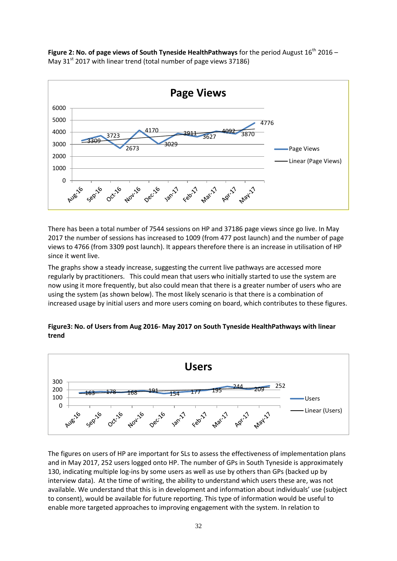**Figure 2: No. of page views of South Tyneside HealthPathways** for the period August  $16^{th}$  2016 – May  $31<sup>st</sup>$  2017 with linear trend (total number of page views 37186)



There has been a total number of 7544 sessions on HP and 37186 page views since go live. In May 2017 the number of sessions has increased to 1009 (from 477 post launch) and the number of page views to 4766 (from 3309 post launch). It appears therefore there is an increase in utilisation of HP since it went live.

The graphs show a steady increase, suggesting the current live pathways are accessed more regularly by practitioners. This could mean that users who initially started to use the system are now using it more frequently, but also could mean that there is a greater number of users who are using the system (as shown below). The most likely scenario is that there is a combination of increased usage by initial users and more users coming on board, which contributes to these figures.

### **Figure3: No. of Users from Aug 2016- May 2017 on South Tyneside HealthPathways with linear trend**



The figures on users of HP are important for SLs to assess the effectiveness of implementation plans and in May 2017, 252 users logged onto HP. The number of GPs in South Tyneside is approximately 130, indicating multiple log-ins by some users as well as use by others than GPs (backed up by interview data). At the time of writing, the ability to understand which users these are, was not available. We understand that this is in development and information about individuals' use (subject to consent), would be available for future reporting. This type of information would be useful to enable more targeted approaches to improving engagement with the system. In relation to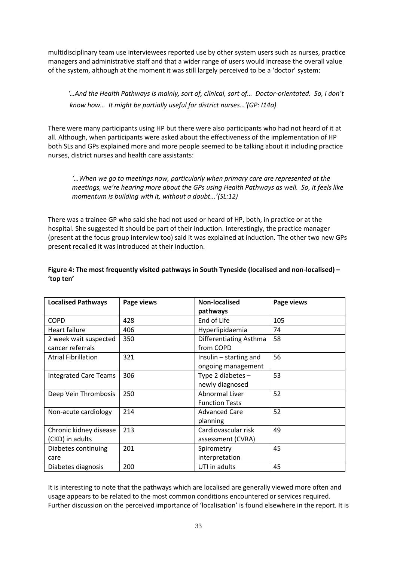multidisciplinary team use interviewees reported use by other system users such as nurses, practice managers and administrative staff and that a wider range of users would increase the overall value of the system, although at the moment it was still largely perceived to be a 'doctor' system:

 *'…And the Health Pathways is mainly, sort of, clinical, sort of… Doctor-orientated. So, I don't know how… It might be partially useful for district nurses…'(GP: I14a)*

There were many participants using HP but there were also participants who had not heard of it at all. Although, when participants were asked about the effectiveness of the implementation of HP both SLs and GPs explained more and more people seemed to be talking about it including practice nurses, district nurses and health care assistants:

*'…When we go to meetings now, particularly when primary care are represented at the meetings, we're hearing more about the GPs using Health Pathways as well. So, it feels like momentum is building with it, without a doubt...'(SL:12)*

There was a trainee GP who said she had not used or heard of HP, both, in practice or at the hospital. She suggested it should be part of their induction. Interestingly, the practice manager (present at the focus group interview too) said it was explained at induction. The other two new GPs present recalled it was introduced at their induction.

## **Figure 4: The most frequently visited pathways in South Tyneside (localised and non-localised) – 'top ten'**

| <b>Localised Pathways</b>    | Page views | <b>Non-localised</b>   | Page views |
|------------------------------|------------|------------------------|------------|
|                              |            | pathways               |            |
| <b>COPD</b>                  | 428        | End of Life            | 105        |
| Heart failure                | 406        | Hyperlipidaemia        | 74         |
| 2 week wait suspected        | 350        | Differentiating Asthma | 58         |
| cancer referrals             |            | from COPD              |            |
| <b>Atrial Fibrillation</b>   | 321        | Insulin - starting and | 56         |
|                              |            | ongoing management     |            |
| <b>Integrated Care Teams</b> | 306        | Type 2 diabetes $-$    | 53         |
|                              |            | newly diagnosed        |            |
| Deep Vein Thrombosis         | 250        | <b>Abnormal Liver</b>  | 52         |
|                              |            | <b>Function Tests</b>  |            |
| Non-acute cardiology         | 214        | <b>Advanced Care</b>   | 52         |
|                              |            | planning               |            |
| Chronic kidney disease       | 213        | Cardiovascular risk    | 49         |
| (CKD) in adults              |            | assessment (CVRA)      |            |
| Diabetes continuing          | 201        | Spirometry             | 45         |
| care                         |            | interpretation         |            |
| Diabetes diagnosis           | 200        | UTI in adults          | 45         |

It is interesting to note that the pathways which are localised are generally viewed more often and usage appears to be related to the most common conditions encountered or services required. Further discussion on the perceived importance of 'localisation' is found elsewhere in the report. It is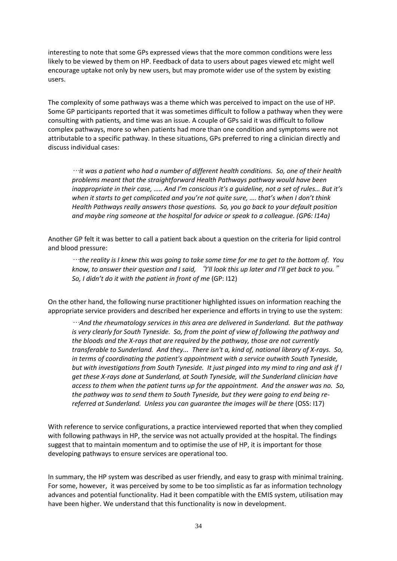interesting to note that some GPs expressed views that the more common conditions were less likely to be viewed by them on HP. Feedback of data to users about pages viewed etc might well encourage uptake not only by new users, but may promote wider use of the system by existing users.

The complexity of some pathways was a theme which was perceived to impact on the use of HP. Some GP participants reported that it was sometimes difficult to follow a pathway when they were consulting with patients*,* and time was an issue. A couple of GPs said it was difficult to follow complex pathways, more so when patients had more than one condition and symptoms were not attributable to a specific pathway. In these situations, GPs preferred to ring a clinician directly and discuss individual cases:

…*it was a patient who had a number of different health conditions. So, one of their health problems meant that the straightforward Health Pathways pathway would have been inappropriate in their case, ….. And I'm conscious it's a guideline, not a set of rules… But it's when it starts to get complicated and you're not quite sure, …. that's when I don't think Health Pathways really answers those questions. So, you go back to your default position and maybe ring someone at the hospital for advice or speak to a colleague. (GP6: I14a)*

Another GP felt it was better to call a patient back about a question on the criteria for lipid control and blood pressure:

…*the reality is I knew this was going to take some time for me to get to the bottom of. You know, to answer their question and I said,* "*I'll look this up later and I'll get back to you.*" *So, I didn't do it with the patient in front of me* (GP: I12)

On the other hand, the following nurse practitioner highlighted issues on information reaching the appropriate service providers and described her experience and efforts in trying to use the system:

…*And the rheumatology services in this area are delivered in Sunderland. But the pathway is very clearly for South Tyneside. So, from the point of view of following the pathway and the bloods and the X-rays that are required by the pathway, those are not currently transferable to Sunderland. And they... There isn't a, kind of, national library of X-rays. So, in terms of coordinating the patient's appointment with a service outwith South Tyneside, but with investigations from South Tyneside. It just pinged into my mind to ring and ask if I get these X-rays done at Sunderland, at South Tyneside, will the Sunderland clinician have access to them when the patient turns up for the appointment. And the answer was no. So, the pathway was to send them to South Tyneside, but they were going to end being rereferred at Sunderland. Unless you can guarantee the images will be there (OSS: I17)* 

With reference to service configurations, a practice interviewed reported that when they complied with following pathways in HP, the service was not actually provided at the hospital. The findings suggest that to maintain momentum and to optimise the use of HP, it is important for those developing pathways to ensure services are operational too.

In summary, the HP system was described as user friendly, and easy to grasp with minimal training. For some, however, it was perceived by some to be too simplistic as far as information technology advances and potential functionality. Had it been compatible with the EMIS system, utilisation may have been higher. We understand that this functionality is now in development.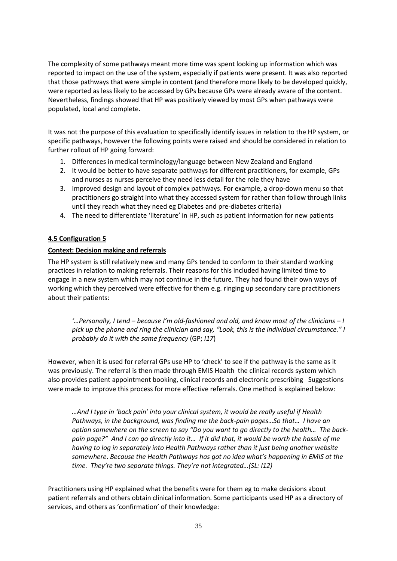The complexity of some pathways meant more time was spent looking up information which was reported to impact on the use of the system, especially if patients were present. It was also reported that those pathways that were simple in content (and therefore more likely to be developed quickly, were reported as less likely to be accessed by GPs because GPs were already aware of the content. Nevertheless, findings showed that HP was positively viewed by most GPs when pathways were populated, local and complete.

It was not the purpose of this evaluation to specifically identify issues in relation to the HP system, or specific pathways, however the following points were raised and should be considered in relation to further rollout of HP going forward:

- 1. Differences in medical terminology/language between New Zealand and England
- 2. It would be better to have separate pathways for different practitioners, for example, GPs and nurses as nurses perceive they need less detail for the role they have
- 3. Improved design and layout of complex pathways. For example, a drop-down menu so that practitioners go straight into what they accessed system for rather than follow through links until they reach what they need eg Diabetes and pre-diabetes criteria)
- 4. The need to differentiate 'literature' in HP, such as patient information for new patients

# **4.5 Configuration 5**

## **Context: Decision making and referrals**

The HP system is still relatively new and many GPs tended to conform to their standard working practices in relation to making referrals. Their reasons for this included having limited time to engage in a new system which may not continue in the future. They had found their own ways of working which they perceived were effective for them e.g. ringing up secondary care practitioners about their patients:

*'…Personally, I tend – because I'm old-fashioned and old, and know most of the clinicians – I pick up the phone and ring the clinician and say, "Look, this is the individual circumstance." I probably do it with the same frequency* (GP; *I17*)

However, when it is used for referral GPs use HP to 'check' to see if the pathway is the same as it was previously. The referral is then made through EMIS Health the clinical records system which also provides patient appointment booking, clinical records and electronic prescribing Suggestions were made to improve this process for more effective referrals. One method is explained below:

*…And I type in 'back pain' into your clinical system, it would be really useful if Health Pathways, in the background, was finding me the back-pain pages…So that… I have an option somewhere on the screen to say "Do you want to go directly to the health… The backpain page?" And I can go directly into it… If it did that, it would be worth the hassle of me having to log in separately into Health Pathways rather than it just being another website somewhere*. *Because the Health Pathways has got no idea what's happening in EMIS at the time. They're two separate things. They're not integrated…(SL: I12)*

Practitioners using HP explained what the benefits were for them eg to make decisions about patient referrals and others obtain clinical information. Some participants used HP as a directory of services, and others as 'confirmation' of their knowledge: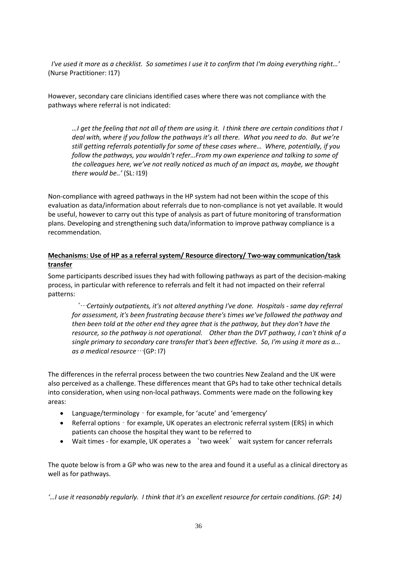*I've used it more as a checklist. So sometimes I use it to confirm that I'm doing everything right…'* (Nurse Practitioner: I17)

However, secondary care clinicians identified cases where there was not compliance with the pathways where referral is not indicated:

*…I get the feeling that not all of them are using it. I think there are certain conditions that I deal with, where if you follow the pathways it's all there. What you need to do. But we're still getting referrals potentially for some of these cases where… Where, potentially, if you follow the pathways, you wouldn't refer…From my own experience and talking to some of the colleagues here, we've not really noticed as much of an impact as, maybe, we thought there would be..'* (SL: I19)

Non-compliance with agreed pathways in the HP system had not been within the scope of this evaluation as data/information about referrals due to non-compliance is not yet available. It would be useful, however to carry out this type of analysis as part of future monitoring of transformation plans. Developing and strengthening such data/information to improve pathway compliance is a recommendation.

### **Mechanisms: Use of HP as a referral system/ Resource directory/ Two-way communication/task transfer**

Some participants described issues they had with following pathways as part of the decision-making process, in particular with reference to referrals and felt it had not impacted on their referral patterns:

'…*Certainly outpatients, it's not altered anything I've done. Hospitals - same day referral for assessment, it's been frustrating because there's times we've followed the pathway and then been told at the other end they agree that is the pathway, but they don't have the resource, so the pathway is not operational. Other than the DVT pathway, I can't think of a single primary to secondary care transfer that's been effective. So, I'm using it more as a... as a medical resource*…(GP: I7)

The differences in the referral process between the two countries New Zealand and the UK were also perceived as a challenge. These differences meant that GPs had to take other technical details into consideration, when using non-local pathways. Comments were made on the following key areas:

- Language/terminology for example, for 'acute' and 'emergency'
- Referral options for example, UK operates an electronic referral system (ERS) in which patients can choose the hospital they want to be referred to
- Wait times for example, UK operates a 'two week' wait system for cancer referrals

The quote below is from a GP who was new to the area and found it a useful as a clinical directory as well as for pathways.

*'…I use it reasonably regularly. I think that it's an excellent resource for certain conditions. (GP: 14)*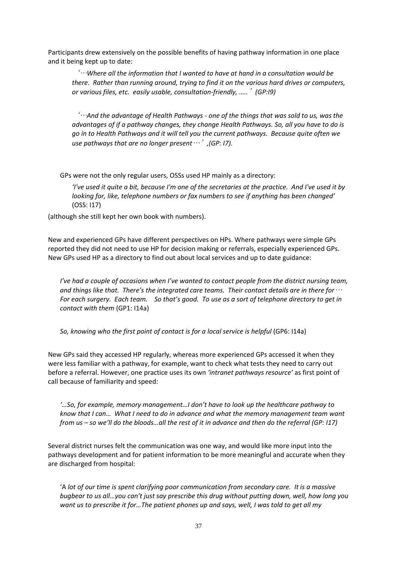Participants drew extensively on the possible benefits of having pathway information in one place and it being kept up to date:

'…*Where all the information that I wanted to have at hand in a consultation would be there. Rather than running around, trying to find it on the various hard drives or computers, or various files, etc. easily usable, consultation-friendly, …..*'*(GP:I9)*

'…*And the advantage of Health Pathways - one of the things that was sold to us, was the advantages of if a pathway changes, they change Health Pathways. So, all you have to do is go in to Health Pathways and it will tell you the current pathways. Because quite often we use pathways that are no longer present*…'*,(GP: I7).*

GPs were not the only regular users, OSSs used HP mainly as a directory:

*'I've used it quite a bit, because I'm one of the secretaries at the practice. And I've used it by looking for, like, telephone numbers or fax numbers to see if anything has been changed'*  (OSS: I17)

(although she still kept her own book with numbers).

New and experienced GPs have different perspectives on HPs. Where pathways were simple GPs reported they did not need to use HP for decision making or referrals, especially experienced GPs. New GPs used HP as a directory to find out about local services and up to date guidance:

*I've had a couple of occasions when I've wanted to contact people from the district nursing team, and things like that. There's the integrated care teams. Their contact details are in there for*… *For each surgery. Each team. So that's good. To use as a sort of telephone directory to get in contact with them* (GP1: I14a)

*So, knowing who the first point of contact is for a local service is helpful* (GP6: I14a)

New GPs said they accessed HP regularly, whereas more experienced GPs accessed it when they were less familiar with a pathway, for example, want to check what tests they need to carry out before a referral. However, one practice uses its own *'intranet pathways resource'* as first point of call because of familiarity and speed:

*'…So, for example, memory management…I don't have to look up the healthcare pathway to know that I can… What I need to do in advance and what the memory management team want from us – so we'll do the bloods…all the rest of it in advance and then do the referral (GP: I17)*

Several district nurses felt the communication was one way, and would like more input into the pathways development and for patient information to be more meaningful and accurate when they are discharged from hospital:

'A *lot of our time is spent clarifying poor communication from secondary care. It is a massive bugbear to us all…you can't just say prescribe this drug without putting down, well, how long you want us to prescribe it for…The patient phones up and says, well, I was told to get all my*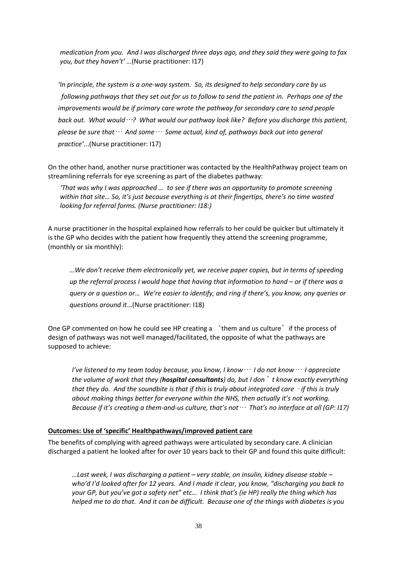*medication from you. And I was discharged three days ago, and they said they were going to fax you, but they haven't' …*(Nurse practitioner: I17)

 *'In principle, the system is a one-way system. So, its designed to help secondary care by us following pathways that they set out for us to follow to send the patient in. Perhaps one of the improvements would be if primary care wrote the pathway for secondary care to send people back out. What would*…*? What would our pathway look like? Before you discharge this patient, please be sure that*… *And some*… *Some actual, kind of, pathways back out into general practice'*...(Nurse practitioner: I17)

On the other hand, another nurse practitioner was contacted by the HealthPathway project team on streamlining referrals for eye screening as part of the diabetes pathway:

*'That was why I was approached … to see if there was an opportunity to promote screening within that site… So, it's just because everything is at their fingertips, there's no time wasted looking for referral forms. (Nurse practitioner: I18:)*

A nurse practitioner in the hospital explained how referrals to her could be quicker but ultimately it is the GP who decides with the patient how frequently they attend the screening programme, (monthly or six monthly):

 *…We don't receive them electronically yet, we receive paper copies, but in terms of speeding up the referral process I would hope that having that information to hand – or if there was a query or a question or… We're easier to identify, and ring if there's, you know, any queries or questions around it*...(Nurse practitioner: I18)

One GP commented on how he could see HP creating a 'them and us culture' if the process of design of pathways was not well managed/facilitated, the opposite of what the pathways are supposed to achieve:

*I've listened to my team today because, you know, I know*… *I do not know*… *I appreciate the volume of work that they (hospital consultants) do, but I don*'*t know exactly everything that they do. And the soundbite is that if this is truly about integrated care - if this is truly about making things better for everyone within the NHS, then actually it's not working. Because if it's creating a them-and-us culture, that's not*… *That's no interface at all (GP: I17)*

#### **Outcomes: Use of 'specific' Healthpathways/improved patient care**

The benefits of complying with agreed pathways were articulated by secondary care. A clinician discharged a patient he looked after for over 10 years back to their GP and found this quite difficult:

*…Last week, I was discharging a patient – very stable, on insulin, kidney disease stable – who'd I'd looked after for 12 years. And I made it clear, you know, "discharging you back to your GP, but you've got a safety net" etc… I think that's (ie HP) really the thing which has helped me to do that. And it can be difficult. Because one of the things with diabetes is you*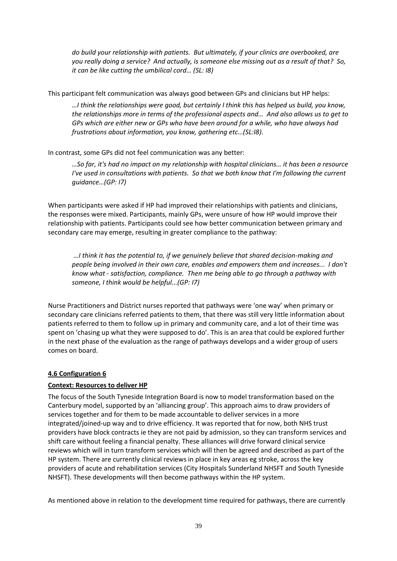*do build your relationship with patients. But ultimately, if your clinics are overbooked, are you really doing a service? And actually, is someone else missing out as a result of that? So, it can be like cutting the umbilical cord… (SL: I8)* 

This participant felt communication was always good between GPs and clinicians but HP helps:

*…I think the relationships were good, but certainly I think this has helped us build, you know, the relationships more in terms of the professional aspects and… And also allows us to get to GPs which are either new or GPs who have been around for a while, who have always had frustrations about information, you know, gathering etc…(SL:I8).*

In contrast, some GPs did not feel communication was any better:

*…So far, it's had no impact on my relationship with hospital clinicians… it has been a resource I've used in consultations with patients. So that we both know that I'm following the current guidance…(GP: I7)*

When participants were asked if HP had improved their relationships with patients and clinicians, the responses were mixed. Participants, mainly GPs, were unsure of how HP would improve their relationship with patients. Participants could see how better communication between primary and secondary care may emerge, resulting in greater compliance to the pathway:

*…I think it has the potential to, if we genuinely believe that shared decision-making and people being involved in their own care, enables and empowers them and increases... I don't know what - satisfaction, compliance. Then me being able to go through a pathway with someone, I think would be helpful...(GP: I7)* 

Nurse Practitioners and District nurses reported that pathways were 'one way' when primary or secondary care clinicians referred patients to them, that there was still very little information about patients referred to them to follow up in primary and community care, and a lot of their time was spent on 'chasing up what they were supposed to do'. This is an area that could be explored further in the next phase of the evaluation as the range of pathways develops and a wider group of users comes on board.

## **4.6 Configuration 6**

## **Context: Resources to deliver HP**

The focus of the South Tyneside Integration Board is now to model transformation based on the Canterbury model, supported by an 'alliancing group'. This approach aims to draw providers of services together and for them to be made accountable to deliver services in a more integrated/joined-up way and to drive efficiency. It was reported that for now, both NHS trust providers have block contracts ie they are not paid by admission, so they can transform services and shift care without feeling a financial penalty. These alliances will drive forward clinical service reviews which will in turn transform services which will then be agreed and described as part of the HP system. There are currently clinical reviews in place in key areas eg stroke, across the key providers of acute and rehabilitation services (City Hospitals Sunderland NHSFT and South Tyneside NHSFT). These developments will then become pathways within the HP system.

As mentioned above in relation to the development time required for pathways, there are currently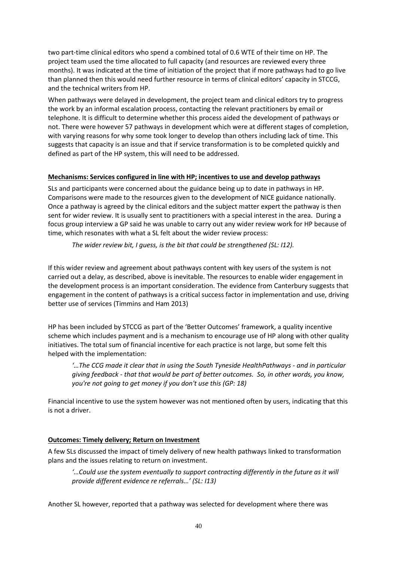two part-time clinical editors who spend a combined total of 0.6 WTE of their time on HP. The project team used the time allocated to full capacity (and resources are reviewed every three months). It was indicated at the time of initiation of the project that if more pathways had to go live than planned then this would need further resource in terms of clinical editors' capacity in STCCG, and the technical writers from HP.

When pathways were delayed in development, the project team and clinical editors try to progress the work by an informal escalation process, contacting the relevant practitioners by email or telephone. It is difficult to determine whether this process aided the development of pathways or not. There were however 57 pathways in development which were at different stages of completion, with varying reasons for why some took longer to develop than others including lack of time. This suggests that capacity is an issue and that if service transformation is to be completed quickly and defined as part of the HP system, this will need to be addressed.

### **Mechanisms: Services configured in line with HP; incentives to use and develop pathways**

SLs and participants were concerned about the guidance being up to date in pathways in HP. Comparisons were made to the resources given to the development of NICE guidance nationally. Once a pathway is agreed by the clinical editors and the subject matter expert the pathway is then sent for wider review. It is usually sent to practitioners with a special interest in the area. During a focus group interview a GP said he was unable to carry out any wider review work for HP because of time, which resonates with what a SL felt about the wider review process:

*The wider review bit, I guess, is the bit that could be strengthened (SL: I12).*

If this wider review and agreement about pathways content with key users of the system is not carried out a delay, as described, above is inevitable. The resources to enable wider engagement in the development process is an important consideration. The evidence from Canterbury suggests that engagement in the content of pathways is a critical success factor in implementation and use, driving better use of services (Timmins and Ham 2013)

HP has been included by STCCG as part of the 'Better Outcomes' framework, a quality incentive scheme which includes payment and is a mechanism to encourage use of HP along with other quality initiatives. The total sum of financial incentive for each practice is not large, but some felt this helped with the implementation:

*'…The CCG made it clear that in using the South Tyneside HealthPathways - and in particular giving feedback - that that would be part of better outcomes. So, in other words, you know, you're not going to get money if you don't use this (GP: 18)* 

Financial incentive to use the system however was not mentioned often by users, indicating that this is not a driver.

#### **Outcomes: Timely delivery; Return on Investment**

A few SLs discussed the impact of timely delivery of new health pathways linked to transformation plans and the issues relating to return on investment.

*'…Could use the system eventually to support contracting differently in the future as it will provide different evidence re referrals…' (SL: I13)*

Another SL however, reported that a pathway was selected for development where there was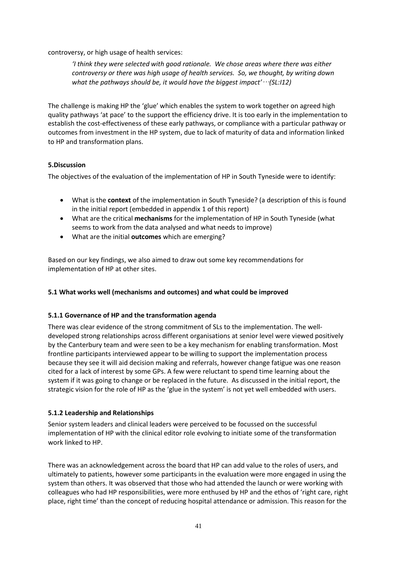controversy, or high usage of health services:

*'I think they were selected with good rationale. We chose areas where there was either controversy or there was high usage of health services. So, we thought, by writing down what the pathways should be, it would have the biggest impact'*…*(SL:I12)*

The challenge is making HP the 'glue' which enables the system to work together on agreed high quality pathways 'at pace' to the support the efficiency drive. It is too early in the implementation to establish the cost-effectiveness of these early pathways, or compliance with a particular pathway or outcomes from investment in the HP system, due to lack of maturity of data and information linked to HP and transformation plans.

## **5.Discussion**

The objectives of the evaluation of the implementation of HP in South Tyneside were to identify:

- What is the **context** of the implementation in South Tyneside? (a description of this is found in the initial report (embedded in appendix 1 of this report)
- What are the critical **mechanisms** for the implementation of HP in South Tyneside (what seems to work from the data analysed and what needs to improve)
- What are the initial **outcomes** which are emerging?

Based on our key findings, we also aimed to draw out some key recommendations for implementation of HP at other sites.

## **5.1 What works well (mechanisms and outcomes) and what could be improved**

#### **5.1.1 Governance of HP and the transformation agenda**

There was clear evidence of the strong commitment of SLs to the implementation. The welldeveloped strong relationships across different organisations at senior level were viewed positively by the Canterbury team and were seen to be a key mechanism for enabling transformation. Most frontline participants interviewed appear to be willing to support the implementation process because they see it will aid decision making and referrals, however change fatigue was one reason cited for a lack of interest by some GPs. A few were reluctant to spend time learning about the system if it was going to change or be replaced in the future. As discussed in the initial report, the strategic vision for the role of HP as the 'glue in the system' is not yet well embedded with users.

## **5.1.2 Leadership and Relationships**

Senior system leaders and clinical leaders were perceived to be focussed on the successful implementation of HP with the clinical editor role evolving to initiate some of the transformation work linked to HP.

There was an acknowledgement across the board that HP can add value to the roles of users, and ultimately to patients, however some participants in the evaluation were more engaged in using the system than others. It was observed that those who had attended the launch or were working with colleagues who had HP responsibilities, were more enthused by HP and the ethos of 'right care, right place, right time' than the concept of reducing hospital attendance or admission. This reason for the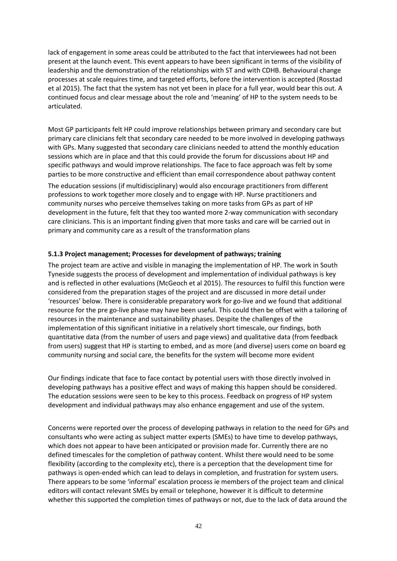lack of engagement in some areas could be attributed to the fact that interviewees had not been present at the launch event. This event appears to have been significant in terms of the visibility of leadership and the demonstration of the relationships with ST and with CDHB. Behavioural change processes at scale requires time, and targeted efforts, before the intervention is accepted (Rosstad et al 2015). The fact that the system has not yet been in place for a full year, would bear this out. A continued focus and clear message about the role and 'meaning' of HP to the system needs to be articulated.

Most GP participants felt HP could improve relationships between primary and secondary care but primary care clinicians felt that secondary care needed to be more involved in developing pathways with GPs. Many suggested that secondary care clinicians needed to attend the monthly education sessions which are in place and that this could provide the forum for discussions about HP and specific pathways and would improve relationships. The face to face approach was felt by some parties to be more constructive and efficient than email correspondence about pathway content

The education sessions (if multidisciplinary) would also encourage practitioners from different professions to work together more closely and to engage with HP. Nurse practitioners and community nurses who perceive themselves taking on more tasks from GPs as part of HP development in the future, felt that they too wanted more 2-way communication with secondary care clinicians. This is an important finding given that more tasks and care will be carried out in primary and community care as a result of the transformation plans

### **5.1.3 Project management; Processes for development of pathways; training**

The project team are active and visible in managing the implementation of HP. The work in South Tyneside suggests the process of development and implementation of individual pathways is key and is reflected in other evaluations (McGeoch et al 2015). The resources to fulfil this function were considered from the preparation stages of the project and are discussed in more detail under 'resources' below. There is considerable preparatory work for go-live and we found that additional resource for the pre go-live phase may have been useful. This could then be offset with a tailoring of resources in the maintenance and sustainability phases. Despite the challenges of the implementation of this significant initiative in a relatively short timescale, our findings, both quantitative data (from the number of users and page views) and qualitative data (from feedback from users) suggest that HP is starting to embed, and as more (and diverse) users come on board eg community nursing and social care, the benefits for the system will become more evident

Our findings indicate that face to face contact by potential users with those directly involved in developing pathways has a positive effect and ways of making this happen should be considered. The education sessions were seen to be key to this process. Feedback on progress of HP system development and individual pathways may also enhance engagement and use of the system.

Concerns were reported over the process of developing pathways in relation to the need for GPs and consultants who were acting as subject matter experts (SMEs) to have time to develop pathways, which does not appear to have been anticipated or provision made for. Currently there are no defined timescales for the completion of pathway content. Whilst there would need to be some flexibility (according to the complexity etc), there is a perception that the development time for pathways is open-ended which can lead to delays in completion, and frustration for system users. There appears to be some 'informal' escalation process ie members of the project team and clinical editors will contact relevant SMEs by email or telephone, however it is difficult to determine whether this supported the completion times of pathways or not, due to the lack of data around the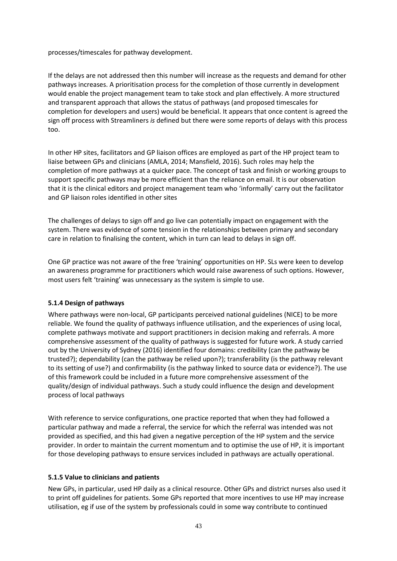processes/timescales for pathway development.

If the delays are not addressed then this number will increase as the requests and demand for other pathways increases. A prioritisation process for the completion of those currently in development would enable the project management team to take stock and plan effectively. A more structured and transparent approach that allows the status of pathways (and proposed timescales for completion for developers and users) would be beneficial. It appears that once content is agreed the sign off process with Streamliners *is* defined but there were some reports of delays with this process too.

In other HP sites, facilitators and GP liaison offices are employed as part of the HP project team to liaise between GPs and clinicians (AMLA, 2014; Mansfield, 2016). Such roles may help the completion of more pathways at a quicker pace. The concept of task and finish or working groups to support specific pathways may be more efficient than the reliance on email. It is our observation that it is the clinical editors and project management team who 'informally' carry out the facilitator and GP liaison roles identified in other sites

The challenges of delays to sign off and go live can potentially impact on engagement with the system. There was evidence of some tension in the relationships between primary and secondary care in relation to finalising the content, which in turn can lead to delays in sign off.

One GP practice was not aware of the free 'training' opportunities on HP. SLs were keen to develop an awareness programme for practitioners which would raise awareness of such options. However, most users felt 'training' was unnecessary as the system is simple to use.

## **5.1.4 Design of pathways**

Where pathways were non-local, GP participants perceived national guidelines (NICE) to be more reliable. We found the quality of pathways influence utilisation, and the experiences of using local, complete pathways motivate and support practitioners in decision making and referrals. A more comprehensive assessment of the quality of pathways is suggested for future work. A study carried out by the University of Sydney (2016) identified four domains: credibility (can the pathway be trusted?); dependability (can the pathway be relied upon?); transferability (is the pathway relevant to its setting of use?) and confirmability (is the pathway linked to source data or evidence?). The use of this framework could be included in a future more comprehensive assessment of the quality/design of individual pathways. Such a study could influence the design and development process of local pathways

With reference to service configurations, one practice reported that when they had followed a particular pathway and made a referral, the service for which the referral was intended was not provided as specified, and this had given a negative perception of the HP system and the service provider. In order to maintain the current momentum and to optimise the use of HP, it is important for those developing pathways to ensure services included in pathways are actually operational.

## **5.1.5 Value to clinicians and patients**

New GPs, in particular, used HP daily as a clinical resource. Other GPs and district nurses also used it to print off guidelines for patients. Some GPs reported that more incentives to use HP may increase utilisation, eg if use of the system by professionals could in some way contribute to continued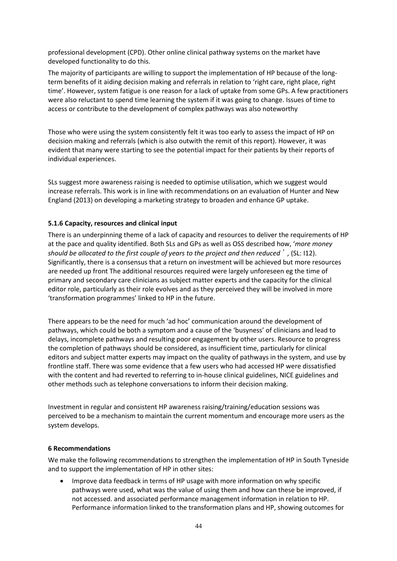professional development (CPD). Other online clinical pathway systems on the market have developed functionality to do this.

The majority of participants are willing to support the implementation of HP because of the longterm benefits of it aiding decision making and referrals in relation to 'right care, right place, right time'. However, system fatigue is one reason for a lack of uptake from some GPs. A few practitioners were also reluctant to spend time learning the system if it was going to change. Issues of time to access or contribute to the development of complex pathways was also noteworthy

Those who were using the system consistently felt it was too early to assess the impact of HP on decision making and referrals (which is also outwith the remit of this report). However, it was evident that many were starting to see the potential impact for their patients by their reports of individual experiences.

SLs suggest more awareness raising is needed to optimise utilisation, which we suggest would increase referrals. This work is in line with recommendations on an evaluation of Hunter and New England (2013) on developing a marketing strategy to broaden and enhance GP uptake.

### **5.1.6 Capacity, resources and clinical input**

There is an underpinning theme of a lack of capacity and resources to deliver the requirements of HP at the pace and quality identified. Both SLs and GPs as well as OSS described how, '*more money should be allocated to the first couple of years to the project and then reduced*'*,* (SL: I12). Significantly, there is a consensus that a return on investment will be achieved but more resources are needed up front The additional resources required were largely unforeseen eg the time of primary and secondary care clinicians as subject matter experts and the capacity for the clinical editor role, particularly as their role evolves and as they perceived they will be involved in more 'transformation programmes' linked to HP in the future.

There appears to be the need for much 'ad hoc' communication around the development of pathways, which could be both a symptom and a cause of the 'busyness' of clinicians and lead to delays, incomplete pathways and resulting poor engagement by other users. Resource to progress the completion of pathways should be considered, as insufficient time, particularly for clinical editors and subject matter experts may impact on the quality of pathways in the system, and use by frontline staff. There was some evidence that a few users who had accessed HP were dissatisfied with the content and had reverted to referring to in-house clinical guidelines, NICE guidelines and other methods such as telephone conversations to inform their decision making.

Investment in regular and consistent HP awareness raising/training/education sessions was perceived to be a mechanism to maintain the current momentum and encourage more users as the system develops.

#### **6 Recommendations**

We make the following recommendations to strengthen the implementation of HP in South Tyneside and to support the implementation of HP in other sites:

 Improve data feedback in terms of HP usage with more information on why specific pathways were used, what was the value of using them and how can these be improved, if not accessed. and associated performance management information in relation to HP. Performance information linked to the transformation plans and HP, showing outcomes for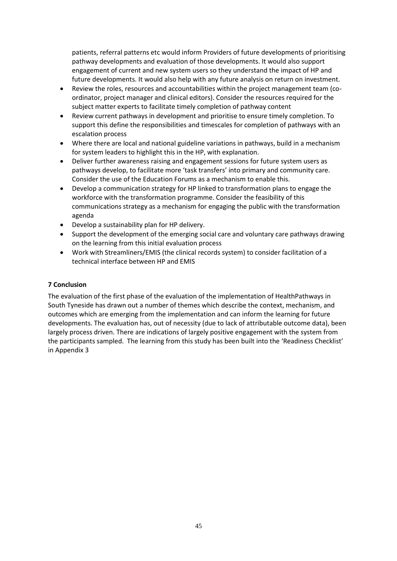patients, referral patterns etc would inform Providers of future developments of prioritising pathway developments and evaluation of those developments. It would also support engagement of current and new system users so they understand the impact of HP and future developments. It would also help with any future analysis on return on investment.

- Review the roles, resources and accountabilities within the project management team (coordinator, project manager and clinical editors). Consider the resources required for the subject matter experts to facilitate timely completion of pathway content
- Review current pathways in development and prioritise to ensure timely completion. To support this define the responsibilities and timescales for completion of pathways with an escalation process
- Where there are local and national guideline variations in pathways, build in a mechanism for system leaders to highlight this in the HP, with explanation.
- Deliver further awareness raising and engagement sessions for future system users as pathways develop, to facilitate more 'task transfers' into primary and community care. Consider the use of the Education Forums as a mechanism to enable this.
- Develop a communication strategy for HP linked to transformation plans to engage the workforce with the transformation programme. Consider the feasibility of this communications strategy as a mechanism for engaging the public with the transformation agenda
- Develop a sustainability plan for HP delivery.
- Support the development of the emerging social care and voluntary care pathways drawing on the learning from this initial evaluation process
- Work with Streamliners/EMIS (the clinical records system) to consider facilitation of a technical interface between HP and EMIS

## **7 Conclusion**

The evaluation of the first phase of the evaluation of the implementation of HealthPathways in South Tyneside has drawn out a number of themes which describe the context, mechanism, and outcomes which are emerging from the implementation and can inform the learning for future developments. The evaluation has, out of necessity (due to lack of attributable outcome data), been largely process driven. There are indications of largely positive engagement with the system from the participants sampled. The learning from this study has been built into the 'Readiness Checklist' in Appendix 3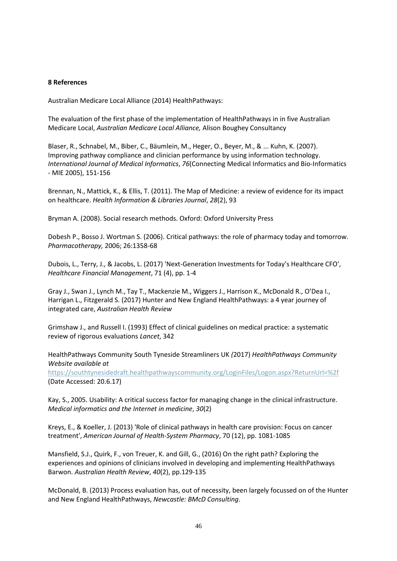#### **8 References**

Australian Medicare Local Alliance (2014) HealthPathways:

The evaluation of the first phase of the implementation of HealthPathways in in five Australian Medicare Local, *Australian Medicare Local Alliance,* Alison Boughey Consultancy

Blaser, R., Schnabel, M., Biber, C., Bäumlein, M., Heger, O., Beyer, M., & ... Kuhn, K. (2007). Improving pathway compliance and clinician performance by using information technology. *International Journal of Medical Informatics*, *76*(Connecting Medical Informatics and Bio-Informatics - MIE 2005), 151-156

Brennan, N., Mattick, K., & Ellis, T. (2011). The Map of Medicine: a review of evidence for its impact on healthcare. *Health Information & Libraries Journal*, *28*(2), 93

Bryman A. (2008). Social research methods. Oxford: Oxford University Press

Dobesh P., Bosso J. Wortman S. (2006). Critical pathways: the role of pharmacy today and tomorrow. *Pharmacotherapy,* 2006; 26:1358-68

Dubois, L., Terry, J., & Jacobs, L. (2017) 'Next-Generation Investments for Today's Healthcare CFO', *Healthcare Financial Management*, 71 (4), pp. 1-4

Gray J., Swan J., Lynch M., Tay T., Mackenzie M., Wiggers J., Harrison K., McDonald R., O'Dea I., Harrigan L., Fitzgerald S. (2017) Hunter and New England HealthPathways: a 4 year journey of integrated care, *Australian Health Review* 

Grimshaw J., and Russell I. (1993) Effect of clinical guidelines on medical practice: a systematic review of rigorous evaluations *Lancet*, 342

HealthPathways Community South Tyneside Streamliners UK *(*2017) *HealthPathways Community Website available at* 

<https://southtynesidedraft.healthpathwayscommunity.org/LoginFiles/Logon.aspx?ReturnUrl=%2f> (Date Accessed: 20.6.17)

Kay, S., 2005. Usability: A critical success factor for managing change in the clinical infrastructure. *Medical informatics and the Internet in medicine*, *30*(2)

Kreys, E., & Koeller, J. (2013) 'Role of clinical pathways in health care provision: Focus on cancer treatment', *American Journal of Health-System Pharmacy*, 70 (12), pp. 1081-1085

Mansfield, S.J., Quirk, F., von Treuer, K. and Gill, G., (2016) On the right path? Exploring the experiences and opinions of clinicians involved in developing and implementing HealthPathways Barwon. *Australian Health Review*, *40*(2), pp.129-135

McDonald, B. (2013) Process evaluation has, out of necessity, been largely focussed on of the Hunter and New England HealthPathways, *Newcastle: BMcD Consulting*.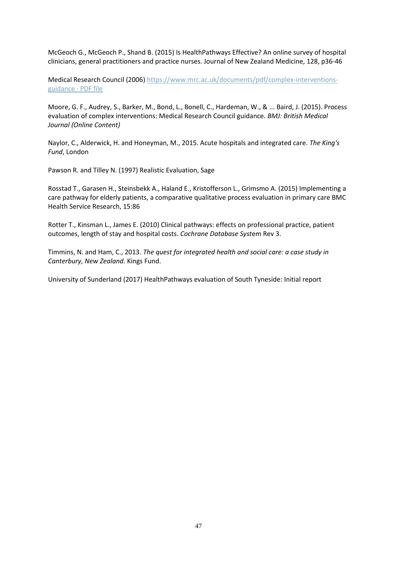McGeoch G., McGeoch P., Shand B. (2015) Is HealthPathways Effective? An online survey of hospital clinicians, general practitioners and practice nurses. Journal of New Zealand Medicine, 128, p36-46

Medical Research Council (2006) [https://www.mrc.ac.uk/documents/pdf/complex-interventions](https://www.mrc.ac.uk/documents/pdf/complex-interventions-guidance ·%20PDF%20file)[guidance](https://www.mrc.ac.uk/documents/pdf/complex-interventions-guidance ·%20PDF%20file) · PDF file

Moore, G. F., Audrey, S., Barker, M., Bond, L., Bonell, C., Hardeman, W., & ... Baird, J. (2015). Process evaluation of complex interventions: Medical Research Council guidance. *BMJ: British Medical Journal (Online Content)*

Naylor, C., Alderwick, H. and Honeyman, M., 2015. Acute hospitals and integrated care. *The King's Fund*, London

Pawson R. and Tilley N. (1997) Realistic Evaluation, Sage

Rosstad T., Garasen H., Steinsbekk A., Haland E., Kristofferson L., Grimsmo A. (2015) Implementing a care pathway for elderly patients, a comparative qualitative process evaluation in primary care BMC Health Service Research, 15:86

Rotter T., Kinsman L., James E. (2010) Clinical pathways: effects on professional practice, patient outcomes, length of stay and hospital costs. *Cochrane Database Syst*em Rev 3.

Timmins, N. and Ham, C., 2013. *The quest for integrated health and social care: a case study in Canterbury, New Zealand*. Kings Fund.

University of Sunderland (2017) HealthPathways evaluation of South Tyneside: Initial report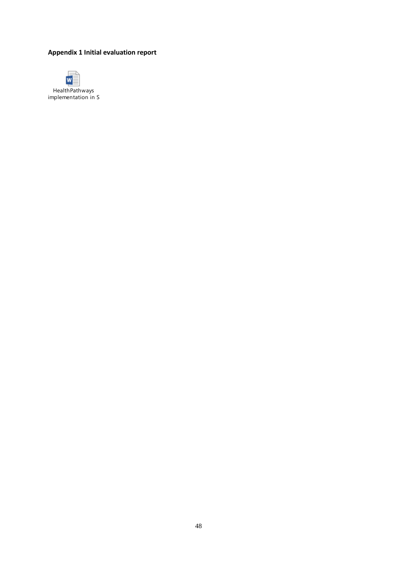# **Appendix 1 Initial evaluation report**



HealthPathways  $implementation$  in  $S$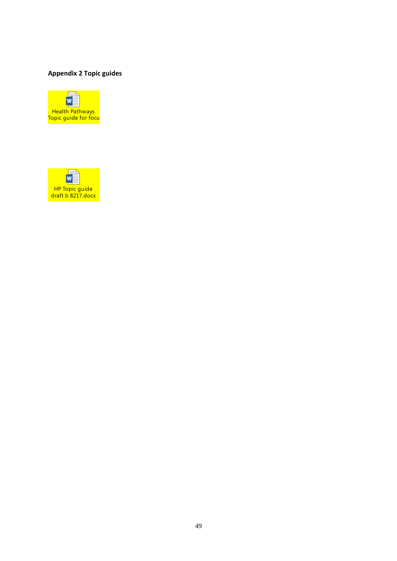# **Appendix 2 Topic guides**



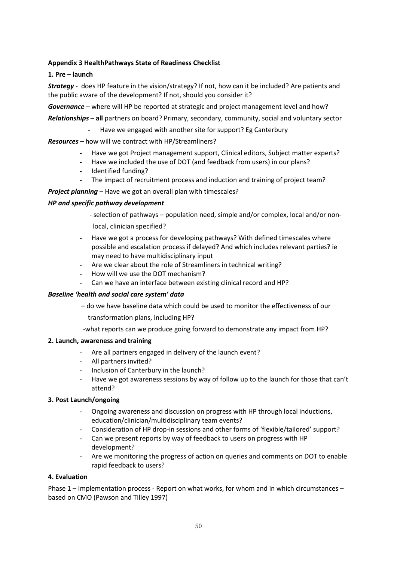### **Appendix 3 HealthPathways State of Readiness Checklist**

### **1. Pre – launch**

*Strategy* - does HP feature in the vision/strategy? If not, how can it be included? Are patients and the public aware of the development? If not, should you consider it?

*Governance* – where will HP be reported at strategic and project management level and how?

*Relationships* – **all** partners on board? Primary, secondary, community, social and voluntary sector

Have we engaged with another site for support? Eg Canterbury

### *Resources* – how will we contract with HP/Streamliners?

- Have we got Project management support, Clinical editors, Subject matter experts?
- Have we included the use of DOT (and feedback from users) in our plans?
- Identified funding?
- The impact of recruitment process and induction and training of project team?

*Project planning* – Have we got an overall plan with timescales?

#### *HP and specific pathway development*

- selection of pathways population need, simple and/or complex, local and/or non local, clinician specified?
- Have we got a process for developing pathways? With defined timescales where possible and escalation process if delayed? And which includes relevant parties? ie may need to have multidisciplinary input
- Are we clear about the role of Streamliners in technical writing?
- How will we use the DOT mechanism?
- Can we have an interface between existing clinical record and HP?

#### *Baseline 'health and social care system' data*

– do we have baseline data which could be used to monitor the effectiveness of our

transformation plans, including HP?

-what reports can we produce going forward to demonstrate any impact from HP?

#### **2. Launch, awareness and training**

- Are all partners engaged in delivery of the launch event?
- All partners invited?
- Inclusion of Canterbury in the launch?
- Have we got awareness sessions by way of follow up to the launch for those that can't attend?

#### **3. Post Launch/ongoing**

- Ongoing awareness and discussion on progress with HP through local inductions, education/clinician/multidisciplinary team events?
- Consideration of HP drop-in sessions and other forms of 'flexible/tailored' support?
- Can we present reports by way of feedback to users on progress with HP development?
- Are we monitoring the progress of action on queries and comments on DOT to enable rapid feedback to users?

#### **4. Evaluation**

Phase 1 – Implementation process - Report on what works, for whom and in which circumstances – based on CMO (Pawson and Tilley 1997)